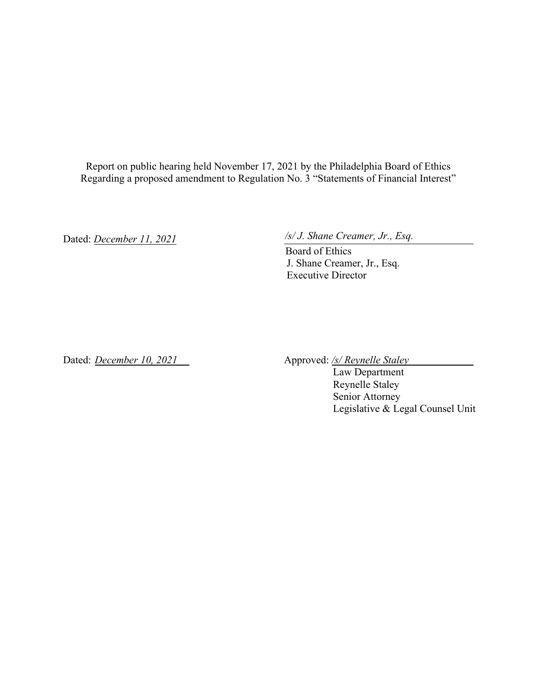Report on public hearing held November 17, 2021 by the Philadelphia Board of Ethics Regarding a proposed amendment to Regulation No. 3 "Statements of Financial Interest"

Dated: *December 11, 2021* 

*/s/ J. Shane Creamer, Jr., Esq.*

Board of Ethics J. Shane Creamer, Jr., Esq. Executive Director

Dated: *December 10, 2021* Approved: /s/ Reynelle Staley

Law Department Reynelle Staley Senior Attorney Legislative & Legal Counsel Unit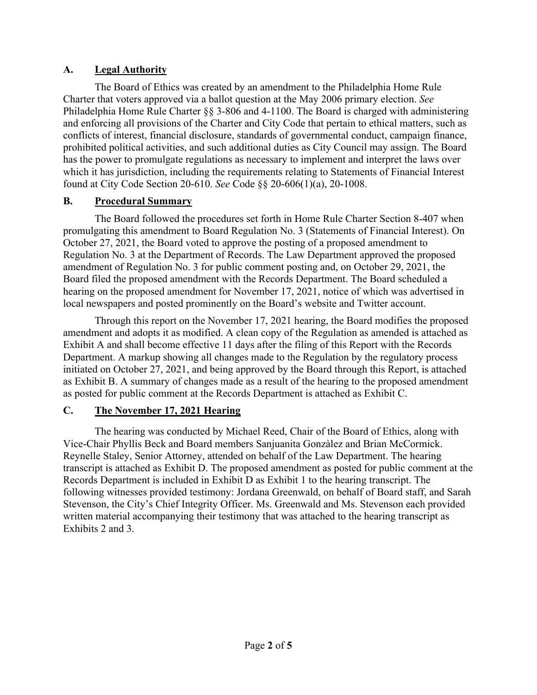### **A. Legal Authority**

The Board of Ethics was created by an amendment to the Philadelphia Home Rule Charter that voters approved via a ballot question at the May 2006 primary election. *See* Philadelphia Home Rule Charter §§ 3-806 and 4-1100. The Board is charged with administering and enforcing all provisions of the Charter and City Code that pertain to ethical matters, such as conflicts of interest, financial disclosure, standards of governmental conduct, campaign finance, prohibited political activities, and such additional duties as City Council may assign. The Board has the power to promulgate regulations as necessary to implement and interpret the laws over which it has jurisdiction, including the requirements relating to Statements of Financial Interest found at City Code Section 20-610. *See* Code §§ 20-606(1)(a), 20-1008.

### **B. Procedural Summary**

The Board followed the procedures set forth in Home Rule Charter Section 8-407 when promulgating this amendment to Board Regulation No. 3 (Statements of Financial Interest). On October 27, 2021, the Board voted to approve the posting of a proposed amendment to Regulation No. 3 at the Department of Records. The Law Department approved the proposed amendment of Regulation No. 3 for public comment posting and, on October 29, 2021, the Board filed the proposed amendment with the Records Department. The Board scheduled a hearing on the proposed amendment for November 17, 2021, notice of which was advertised in local newspapers and posted prominently on the Board's website and Twitter account.

Through this report on the November 17, 2021 hearing, the Board modifies the proposed amendment and adopts it as modified. A clean copy of the Regulation as amended is attached as Exhibit A and shall become effective 11 days after the filing of this Report with the Records Department. A markup showing all changes made to the Regulation by the regulatory process initiated on October 27, 2021, and being approved by the Board through this Report, is attached as Exhibit B. A summary of changes made as a result of the hearing to the proposed amendment as posted for public comment at the Records Department is attached as Exhibit C.

### **C. The November 17, 2021 Hearing**

The hearing was conducted by Michael Reed, Chair of the Board of Ethics, along with Vice-Chair Phyllis Beck and Board members Sanjuanita Gonzàlez and Brian McCormick. Reynelle Staley, Senior Attorney, attended on behalf of the Law Department. The hearing transcript is attached as Exhibit D. The proposed amendment as posted for public comment at the Records Department is included in Exhibit D as Exhibit 1 to the hearing transcript. The following witnesses provided testimony: Jordana Greenwald, on behalf of Board staff, and Sarah Stevenson, the City's Chief Integrity Officer. Ms. Greenwald and Ms. Stevenson each provided written material accompanying their testimony that was attached to the hearing transcript as Exhibits 2 and 3.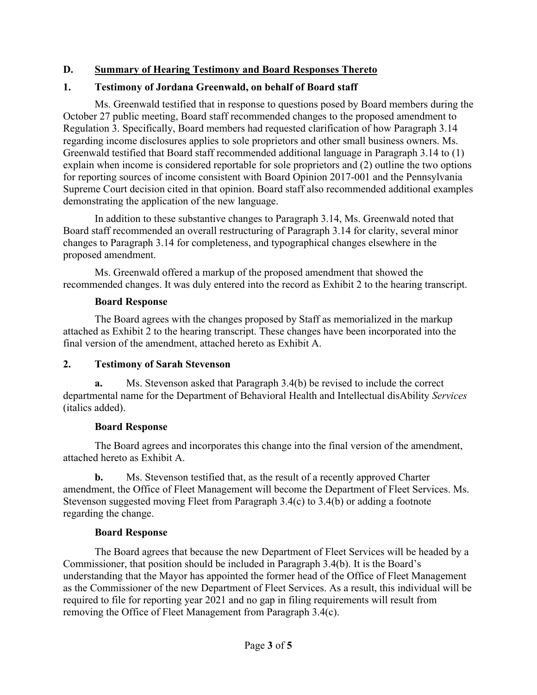### **D. Summary of Hearing Testimony and Board Responses Thereto**

#### **1. Testimony of Jordana Greenwald, on behalf of Board staff**

Ms. Greenwald testified that in response to questions posed by Board members during the October 27 public meeting, Board staff recommended changes to the proposed amendment to Regulation 3. Specifically, Board members had requested clarification of how Paragraph 3.14 regarding income disclosures applies to sole proprietors and other small business owners. Ms. Greenwald testified that Board staff recommended additional language in Paragraph 3.14 to (1) explain when income is considered reportable for sole proprietors and (2) outline the two options for reporting sources of income consistent with Board Opinion 2017-001 and the Pennsylvania Supreme Court decision cited in that opinion. Board staff also recommended additional examples demonstrating the application of the new language.

In addition to these substantive changes to Paragraph 3.14, Ms. Greenwald noted that Board staff recommended an overall restructuring of Paragraph 3.14 for clarity, several minor changes to Paragraph 3.14 for completeness, and typographical changes elsewhere in the proposed amendment.

Ms. Greenwald offered a markup of the proposed amendment that showed the recommended changes. It was duly entered into the record as Exhibit 2 to the hearing transcript.

#### **Board Response**

The Board agrees with the changes proposed by Staff as memorialized in the markup attached as Exhibit 2 to the hearing transcript. These changes have been incorporated into the final version of the amendment, attached hereto as Exhibit A.

#### **2. Testimony of Sarah Stevenson**

**a.** Ms. Stevenson asked that Paragraph 3.4(b) be revised to include the correct departmental name for the Department of Behavioral Health and Intellectual disAbility *Services* (italics added).

#### **Board Response**

The Board agrees and incorporates this change into the final version of the amendment, attached hereto as Exhibit A.

**b.** Ms. Stevenson testified that, as the result of a recently approved Charter amendment, the Office of Fleet Management will become the Department of Fleet Services. Ms. Stevenson suggested moving Fleet from Paragraph 3.4(c) to 3.4(b) or adding a footnote regarding the change.

#### **Board Response**

The Board agrees that because the new Department of Fleet Services will be headed by a Commissioner, that position should be included in Paragraph 3.4(b). It is the Board's understanding that the Mayor has appointed the former head of the Office of Fleet Management as the Commissioner of the new Department of Fleet Services. As a result, this individual will be required to file for reporting year 2021 and no gap in filing requirements will result from removing the Office of Fleet Management from Paragraph 3.4(c).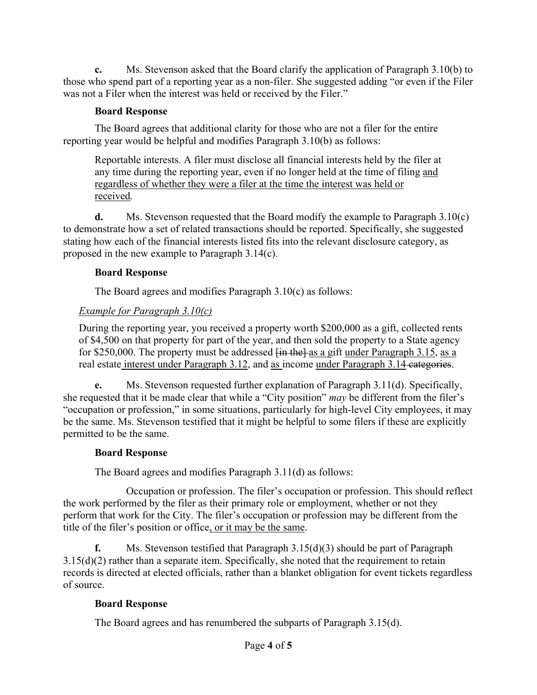**c.** Ms. Stevenson asked that the Board clarify the application of Paragraph 3.10(b) to those who spend part of a reporting year as a non-filer. She suggested adding "or even if the Filer was not a Filer when the interest was held or received by the Filer."

#### **Board Response**

The Board agrees that additional clarity for those who are not a filer for the entire reporting year would be helpful and modifies Paragraph 3.10(b) as follows:

Reportable interests. A filer must disclose all financial interests held by the filer at any time during the reporting year, even if no longer held at the time of filing and regardless of whether they were a filer at the time the interest was held or received*.*

**d.** Ms. Stevenson requested that the Board modify the example to Paragraph 3.10(c) to demonstrate how a set of related transactions should be reported. Specifically, she suggested stating how each of the financial interests listed fits into the relevant disclosure category, as proposed in the new example to Paragraph 3.14(c).

#### **Board Response**

The Board agrees and modifies Paragraph 3.10(c) as follows:

### *Example for Paragraph 3.10(c)*

During the reporting year, you received a property worth \$200,000 as a gift, collected rents of \$4,500 on that property for part of the year, and then sold the property to a State agency for \$250,000. The property must be addressed  $\overline{f}$  in the as a gift under Paragraph 3.15, as a real estate interest under Paragraph 3.12, and as income under Paragraph 3.14 categories.

**e.** Ms. Stevenson requested further explanation of Paragraph 3.11(d). Specifically, she requested that it be made clear that while a "City position" *may* be different from the filer's "occupation or profession," in some situations, particularly for high-level City employees, it may be the same. Ms. Stevenson testified that it might be helpful to some filers if these are explicitly permitted to be the same.

### **Board Response**

The Board agrees and modifies Paragraph 3.11(d) as follows:

Occupation or profession. The filer's occupation or profession. This should reflect the work performed by the filer as their primary role or employment, whether or not they perform that work for the City. The filer's occupation or profession may be different from the title of the filer's position or office, or it may be the same.

**f.** Ms. Stevenson testified that Paragraph 3.15(d)(3) should be part of Paragraph  $3.15(d)(2)$  rather than a separate item. Specifically, she noted that the requirement to retain records is directed at elected officials, rather than a blanket obligation for event tickets regardless of source.

### **Board Response**

The Board agrees and has renumbered the subparts of Paragraph 3.15(d).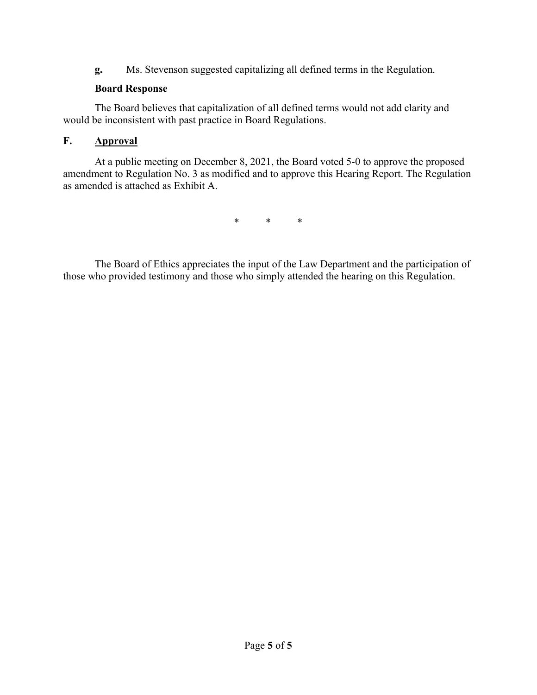**g.** Ms. Stevenson suggested capitalizing all defined terms in the Regulation.

### **Board Response**

The Board believes that capitalization of all defined terms would not add clarity and would be inconsistent with past practice in Board Regulations.

### **F. Approval**

At a public meeting on December 8, 2021, the Board voted 5-0 to approve the proposed amendment to Regulation No. 3 as modified and to approve this Hearing Report. The Regulation as amended is attached as Exhibit A.

\* \* \*

The Board of Ethics appreciates the input of the Law Department and the participation of those who provided testimony and those who simply attended the hearing on this Regulation.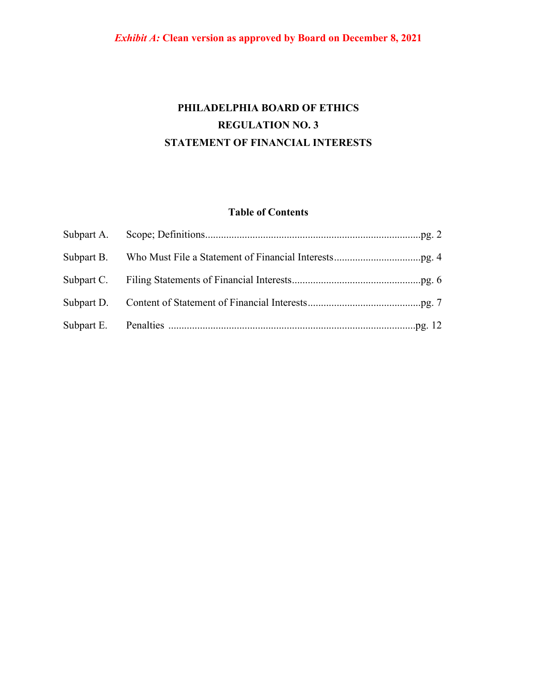# **PHILADELPHIA BOARD OF ETHICS REGULATION NO. 3 STATEMENT OF FINANCIAL INTERESTS**

### **Table of Contents**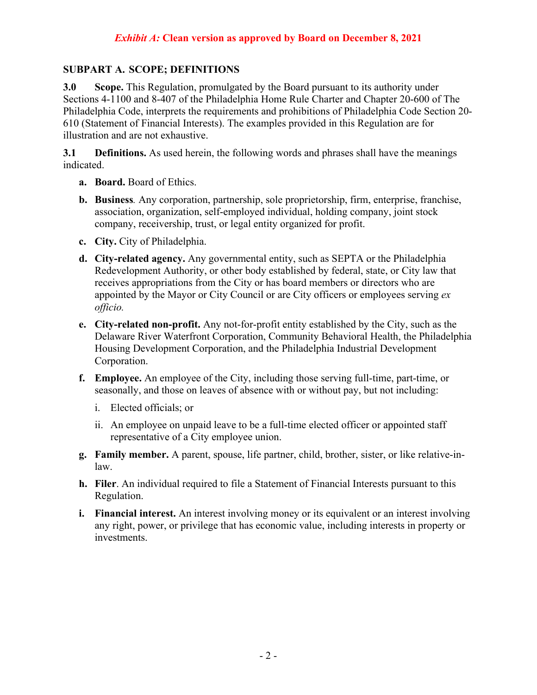#### **SUBPART A. SCOPE; DEFINITIONS**

**3.0 Scope.** This Regulation, promulgated by the Board pursuant to its authority under Sections 4-1100 and 8-407 of the Philadelphia Home Rule Charter and Chapter 20-600 of The Philadelphia Code, interprets the requirements and prohibitions of Philadelphia Code Section 20- 610 (Statement of Financial Interests). The examples provided in this Regulation are for illustration and are not exhaustive.

**3.1 Definitions.** As used herein, the following words and phrases shall have the meanings indicated.

- **a. Board.** Board of Ethics.
- **b. Business***.* Any corporation, partnership, sole proprietorship, firm, enterprise, franchise, association, organization, self-employed individual, holding company, joint stock company, receivership, trust, or legal entity organized for profit.
- **c. City.** City of Philadelphia.
- **d. City-related agency.** Any governmental entity, such as SEPTA or the Philadelphia Redevelopment Authority, or other body established by federal, state, or City law that receives appropriations from the City or has board members or directors who are appointed by the Mayor or City Council or are City officers or employees serving *ex officio.*
- **e. City-related non-profit.** Any not-for-profit entity established by the City, such as the Delaware River Waterfront Corporation, Community Behavioral Health, the Philadelphia Housing Development Corporation, and the Philadelphia Industrial Development Corporation.
- **f. Employee.** An employee of the City, including those serving full-time, part-time, or seasonally, and those on leaves of absence with or without pay, but not including:
	- i. Elected officials; or
	- ii. An employee on unpaid leave to be a full-time elected officer or appointed staff representative of a City employee union.
- **g. Family member.** A parent, spouse, life partner, child, brother, sister, or like relative-inlaw.
- **h. Filer**. An individual required to file a Statement of Financial Interests pursuant to this Regulation.
- **i. Financial interest.** An interest involving money or its equivalent or an interest involving any right, power, or privilege that has economic value, including interests in property or investments.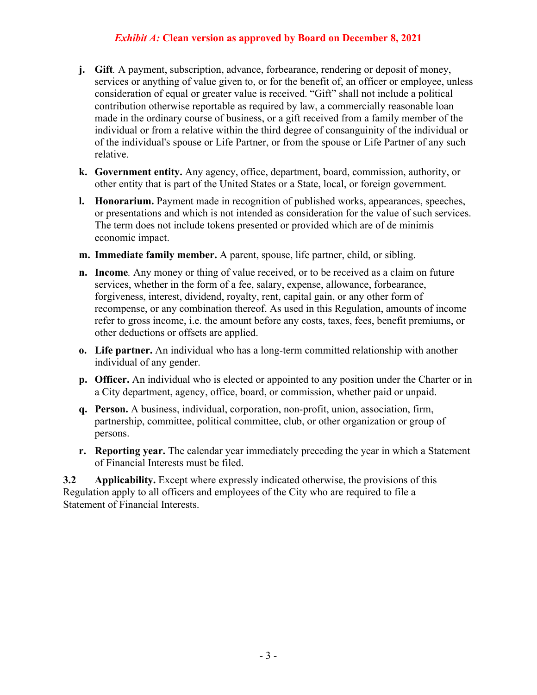- **j. Gift***.* A payment, subscription, advance, forbearance, rendering or deposit of money, services or anything of value given to, or for the benefit of, an officer or employee, unless consideration of equal or greater value is received. "Gift" shall not include a political contribution otherwise reportable as required by law, a commercially reasonable loan made in the ordinary course of business, or a gift received from a family member of the individual or from a relative within the third degree of consanguinity of the individual or of the individual's spouse or Life Partner, or from the spouse or Life Partner of any such relative.
- **k. Government entity.** Any agency, office, department, board, commission, authority, or other entity that is part of the United States or a State, local, or foreign government.
- **l. Honorarium.** Payment made in recognition of published works, appearances, speeches, or presentations and which is not intended as consideration for the value of such services. The term does not include tokens presented or provided which are of de minimis economic impact.
- **m. Immediate family member.** A parent, spouse, life partner, child, or sibling.
- **n. Income***.* Any money or thing of value received, or to be received as a claim on future services, whether in the form of a fee, salary, expense, allowance, forbearance, forgiveness, interest, dividend, royalty, rent, capital gain, or any other form of recompense, or any combination thereof. As used in this Regulation, amounts of income refer to gross income, i.e. the amount before any costs, taxes, fees, benefit premiums, or other deductions or offsets are applied.
- **o. Life partner.** An individual who has a long-term committed relationship with another individual of any gender.
- **p. Officer.** An individual who is elected or appointed to any position under the Charter or in a City department, agency, office, board, or commission, whether paid or unpaid.
- **q. Person.** A business, individual, corporation, non-profit, union, association, firm, partnership, committee, political committee, club, or other organization or group of persons.
- **r. Reporting year.** The calendar year immediately preceding the year in which a Statement of Financial Interests must be filed.

**3.2 Applicability.** Except where expressly indicated otherwise, the provisions of this Regulation apply to all officers and employees of the City who are required to file a Statement of Financial Interests.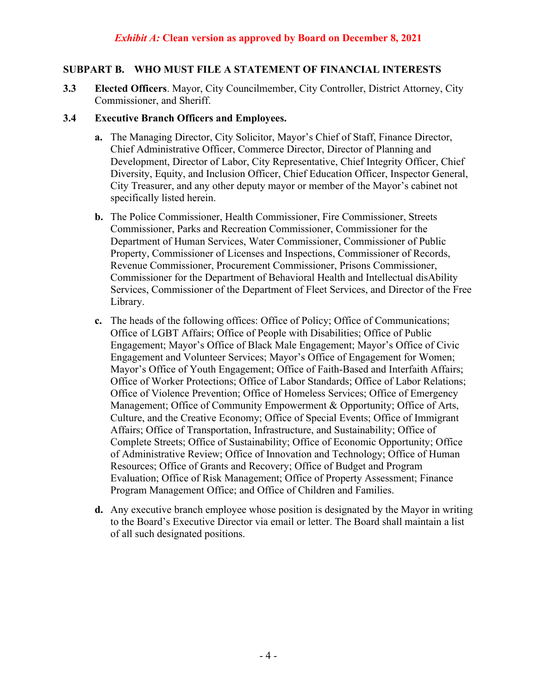#### **SUBPART B. WHO MUST FILE A STATEMENT OF FINANCIAL INTERESTS**

**3.3 Elected Officers**. Mayor, City Councilmember, City Controller, District Attorney, City Commissioner, and Sheriff.

#### **3.4 Executive Branch Officers and Employees.**

- **a.** The Managing Director, City Solicitor, Mayor's Chief of Staff, Finance Director, Chief Administrative Officer, Commerce Director, Director of Planning and Development, Director of Labor, City Representative, Chief Integrity Officer, Chief Diversity, Equity, and Inclusion Officer, Chief Education Officer, Inspector General, City Treasurer, and any other deputy mayor or member of the Mayor's cabinet not specifically listed herein.
- **b.** The Police Commissioner, Health Commissioner, Fire Commissioner, Streets Commissioner, Parks and Recreation Commissioner, Commissioner for the Department of Human Services, Water Commissioner, Commissioner of Public Property, Commissioner of Licenses and Inspections, Commissioner of Records, Revenue Commissioner, Procurement Commissioner, Prisons Commissioner, Commissioner for the Department of Behavioral Health and Intellectual disAbility Services, Commissioner of the Department of Fleet Services, and Director of the Free Library.
- **c.** The heads of the following offices: Office of Policy; Office of Communications; Office of LGBT Affairs; Office of People with Disabilities; Office of Public Engagement; Mayor's Office of Black Male Engagement; Mayor's Office of Civic Engagement and Volunteer Services; Mayor's Office of Engagement for Women; Mayor's Office of Youth Engagement; Office of Faith-Based and Interfaith Affairs; Office of Worker Protections; Office of Labor Standards; Office of Labor Relations; Office of Violence Prevention; Office of Homeless Services; Office of Emergency Management; Office of Community Empowerment & Opportunity; Office of Arts, Culture, and the Creative Economy; Office of Special Events; Office of Immigrant Affairs; Office of Transportation, Infrastructure, and Sustainability; Office of Complete Streets; Office of Sustainability; Office of Economic Opportunity; Office of Administrative Review; Office of Innovation and Technology; Office of Human Resources; Office of Grants and Recovery; Office of Budget and Program Evaluation; Office of Risk Management; Office of Property Assessment; Finance Program Management Office; and Office of Children and Families.
- **d.** Any executive branch employee whose position is designated by the Mayor in writing to the Board's Executive Director via email or letter. The Board shall maintain a list of all such designated positions.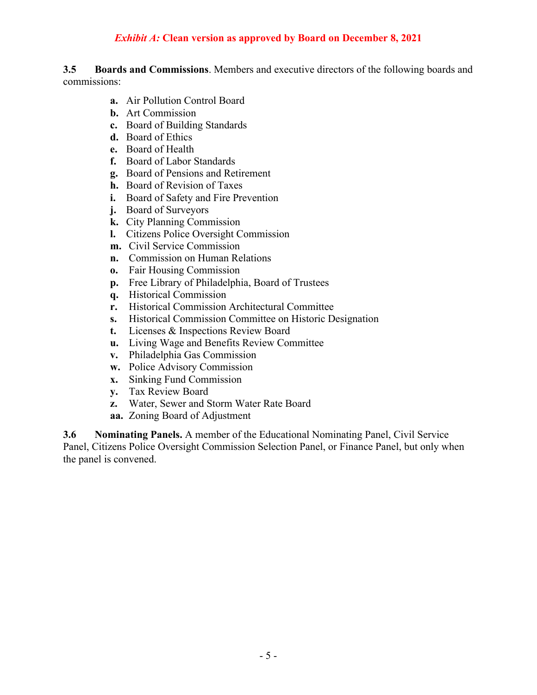**3.5 Boards and Commissions**. Members and executive directors of the following boards and commissions:

- **a.** Air Pollution Control Board
- **b.** Art Commission
- **c.** Board of Building Standards
- **d.** Board of Ethics
- **e.** Board of Health
- **f.** Board of Labor Standards
- **g.** Board of Pensions and Retirement
- **h.** Board of Revision of Taxes
- **i.** Board of Safety and Fire Prevention
- **j.** Board of Surveyors
- **k.** City Planning Commission
- **l.** Citizens Police Oversight Commission
- **m.** Civil Service Commission
- **n.** Commission on Human Relations
- **o.** Fair Housing Commission
- **p.** Free Library of Philadelphia, Board of Trustees
- **q.** Historical Commission
- **r.** Historical Commission Architectural Committee
- **s.** Historical Commission Committee on Historic Designation
- **t.** Licenses & Inspections Review Board
- **u.** Living Wage and Benefits Review Committee
- **v.** Philadelphia Gas Commission
- **w.** Police Advisory Commission
- **x.** Sinking Fund Commission
- **y.** Tax Review Board
- **z.** Water, Sewer and Storm Water Rate Board
- **aa.** Zoning Board of Adjustment

**3.6 Nominating Panels.** A member of the Educational Nominating Panel, Civil Service Panel, Citizens Police Oversight Commission Selection Panel, or Finance Panel, but only when the panel is convened.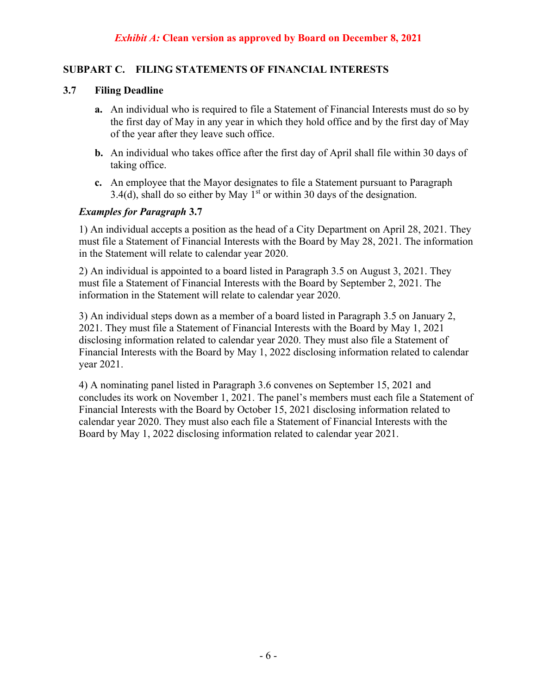### **SUBPART C. FILING STATEMENTS OF FINANCIAL INTERESTS**

#### **3.7 Filing Deadline**

- **a.** An individual who is required to file a Statement of Financial Interests must do so by the first day of May in any year in which they hold office and by the first day of May of the year after they leave such office.
- **b.** An individual who takes office after the first day of April shall file within 30 days of taking office.
- **c.** An employee that the Mayor designates to file a Statement pursuant to Paragraph 3.4(d), shall do so either by May  $1<sup>st</sup>$  or within 30 days of the designation.

### *Examples for Paragraph* **3.7**

1) An individual accepts a position as the head of a City Department on April 28, 2021. They must file a Statement of Financial Interests with the Board by May 28, 2021. The information in the Statement will relate to calendar year 2020.

2) An individual is appointed to a board listed in Paragraph 3.5 on August 3, 2021. They must file a Statement of Financial Interests with the Board by September 2, 2021. The information in the Statement will relate to calendar year 2020.

3) An individual steps down as a member of a board listed in Paragraph 3.5 on January 2, 2021. They must file a Statement of Financial Interests with the Board by May 1, 2021 disclosing information related to calendar year 2020. They must also file a Statement of Financial Interests with the Board by May 1, 2022 disclosing information related to calendar year 2021.

4) A nominating panel listed in Paragraph 3.6 convenes on September 15, 2021 and concludes its work on November 1, 2021. The panel's members must each file a Statement of Financial Interests with the Board by October 15, 2021 disclosing information related to calendar year 2020. They must also each file a Statement of Financial Interests with the Board by May 1, 2022 disclosing information related to calendar year 2021.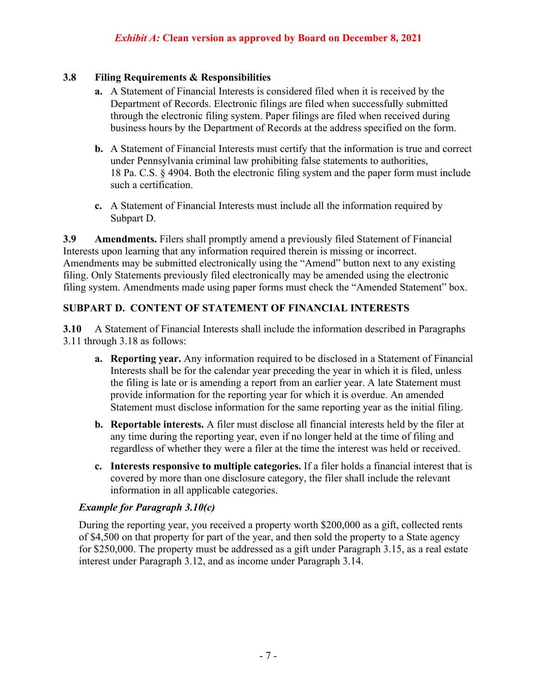### **3.8 Filing Requirements & Responsibilities**

- **a.** A Statement of Financial Interests is considered filed when it is received by the Department of Records. Electronic filings are filed when successfully submitted through the electronic filing system. Paper filings are filed when received during business hours by the Department of Records at the address specified on the form.
- **b.** A Statement of Financial Interests must certify that the information is true and correct under Pennsylvania criminal law prohibiting false statements to authorities, 18 Pa. C.S. § 4904. Both the electronic filing system and the paper form must include such a certification.
- **c.** A Statement of Financial Interests must include all the information required by Subpart D.

**3.9 Amendments.** Filers shall promptly amend a previously filed Statement of Financial Interests upon learning that any information required therein is missing or incorrect. Amendments may be submitted electronically using the "Amend" button next to any existing filing. Only Statements previously filed electronically may be amended using the electronic filing system. Amendments made using paper forms must check the "Amended Statement" box.

### **SUBPART D. CONTENT OF STATEMENT OF FINANCIAL INTERESTS**

**3.10** A Statement of Financial Interests shall include the information described in Paragraphs 3.11 through 3.18 as follows:

- **a. Reporting year.** Any information required to be disclosed in a Statement of Financial Interests shall be for the calendar year preceding the year in which it is filed, unless the filing is late or is amending a report from an earlier year. A late Statement must provide information for the reporting year for which it is overdue. An amended Statement must disclose information for the same reporting year as the initial filing.
- **b. Reportable interests.** A filer must disclose all financial interests held by the filer at any time during the reporting year, even if no longer held at the time of filing and regardless of whether they were a filer at the time the interest was held or received.
- **c. Interests responsive to multiple categories.** If a filer holds a financial interest that is covered by more than one disclosure category, the filer shall include the relevant information in all applicable categories.

### *Example for Paragraph 3.10(c)*

During the reporting year, you received a property worth \$200,000 as a gift, collected rents of \$4,500 on that property for part of the year, and then sold the property to a State agency for \$250,000. The property must be addressed as a gift under Paragraph 3.15, as a real estate interest under Paragraph 3.12, and as income under Paragraph 3.14.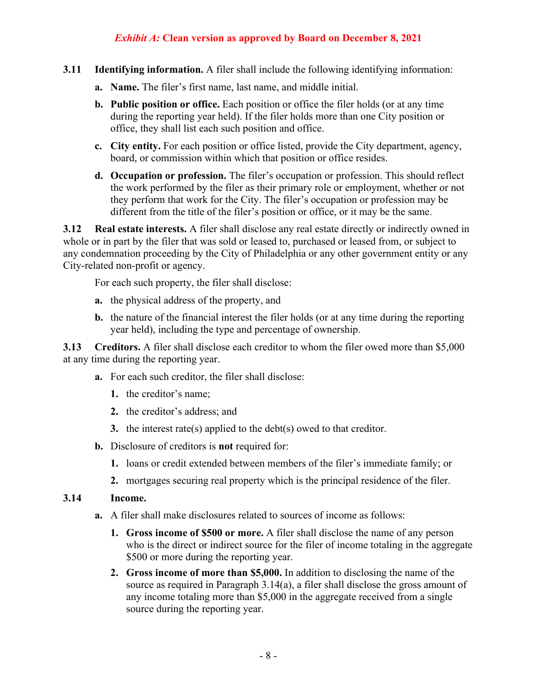- **3.11 Identifying information.** A filer shall include the following identifying information:
	- **a. Name.** The filer's first name, last name, and middle initial.
	- **b. Public position or office.** Each position or office the filer holds (or at any time during the reporting year held). If the filer holds more than one City position or office, they shall list each such position and office.
	- **c. City entity.** For each position or office listed, provide the City department, agency, board, or commission within which that position or office resides.
	- **d. Occupation or profession.** The filer's occupation or profession. This should reflect the work performed by the filer as their primary role or employment, whether or not they perform that work for the City. The filer's occupation or profession may be different from the title of the filer's position or office, or it may be the same.

**3.12 Real estate interests.** A filer shall disclose any real estate directly or indirectly owned in whole or in part by the filer that was sold or leased to, purchased or leased from, or subject to any condemnation proceeding by the City of Philadelphia or any other government entity or any City-related non-profit or agency.

For each such property, the filer shall disclose:

- **a.** the physical address of the property, and
- **b.** the nature of the financial interest the filer holds (or at any time during the reporting year held), including the type and percentage of ownership.

**3.13 Creditors.** A filer shall disclose each creditor to whom the filer owed more than \$5,000 at any time during the reporting year.

- **a.** For each such creditor, the filer shall disclose:
	- **1.** the creditor's name;
	- **2.** the creditor's address; and
	- **3.** the interest rate(s) applied to the debt(s) owed to that creditor.
- **b.** Disclosure of creditors is **not** required for:
	- **1.** loans or credit extended between members of the filer's immediate family; or
	- **2.** mortgages securing real property which is the principal residence of the filer.

#### **3.14 Income.**

- **a.** A filer shall make disclosures related to sources of income as follows:
	- **1. Gross income of \$500 or more.** A filer shall disclose the name of any person who is the direct or indirect source for the filer of income totaling in the aggregate \$500 or more during the reporting year.
	- **2. Gross income of more than \$5,000.** In addition to disclosing the name of the source as required in Paragraph 3.14(a), a filer shall disclose the gross amount of any income totaling more than \$5,000 in the aggregate received from a single source during the reporting year.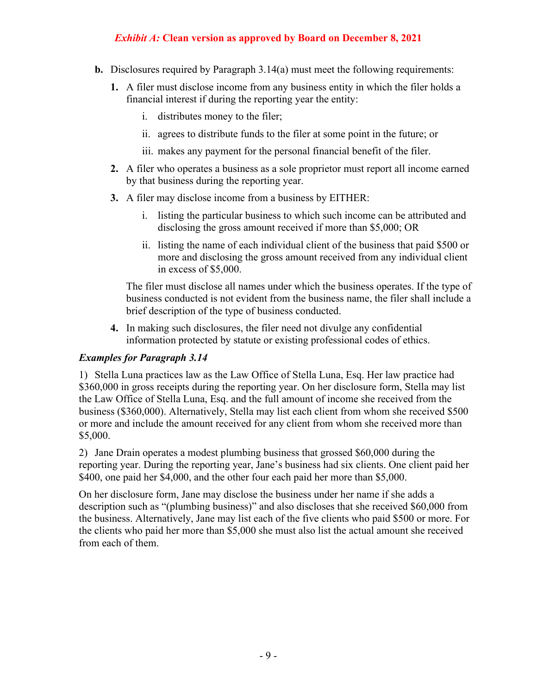- **b.** Disclosures required by Paragraph 3.14(a) must meet the following requirements:
	- **1.** A filer must disclose income from any business entity in which the filer holds a financial interest if during the reporting year the entity:
		- i. distributes money to the filer;
		- ii. agrees to distribute funds to the filer at some point in the future; or
		- iii. makes any payment for the personal financial benefit of the filer.
	- **2.** A filer who operates a business as a sole proprietor must report all income earned by that business during the reporting year.
	- **3.** A filer may disclose income from a business by EITHER:
		- i. listing the particular business to which such income can be attributed and disclosing the gross amount received if more than \$5,000; OR
		- ii. listing the name of each individual client of the business that paid \$500 or more and disclosing the gross amount received from any individual client in excess of \$5,000.

The filer must disclose all names under which the business operates. If the type of business conducted is not evident from the business name, the filer shall include a brief description of the type of business conducted.

**4.** In making such disclosures, the filer need not divulge any confidential information protected by statute or existing professional codes of ethics.

#### *Examples for Paragraph 3.14*

1) Stella Luna practices law as the Law Office of Stella Luna, Esq. Her law practice had \$360,000 in gross receipts during the reporting year. On her disclosure form, Stella may list the Law Office of Stella Luna, Esq. and the full amount of income she received from the business (\$360,000). Alternatively, Stella may list each client from whom she received \$500 or more and include the amount received for any client from whom she received more than \$5,000.

2) Jane Drain operates a modest plumbing business that grossed \$60,000 during the reporting year. During the reporting year, Jane's business had six clients. One client paid her \$400, one paid her \$4,000, and the other four each paid her more than \$5,000.

On her disclosure form, Jane may disclose the business under her name if she adds a description such as "(plumbing business)" and also discloses that she received \$60,000 from the business. Alternatively, Jane may list each of the five clients who paid \$500 or more. For the clients who paid her more than \$5,000 she must also list the actual amount she received from each of them.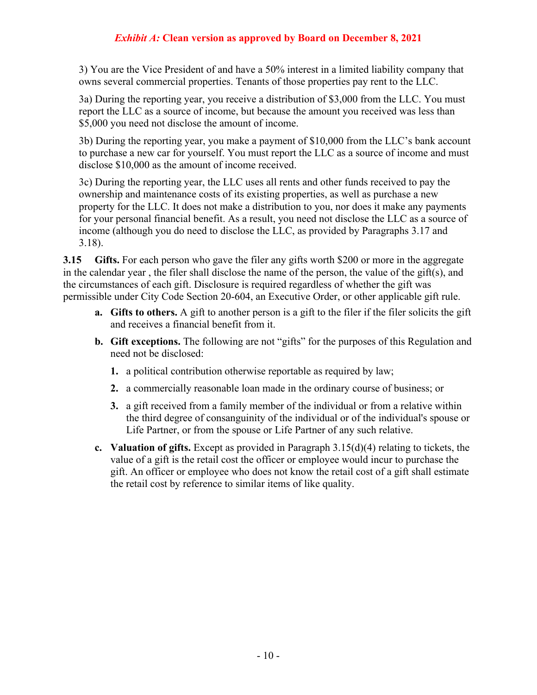3) You are the Vice President of and have a 50% interest in a limited liability company that owns several commercial properties. Tenants of those properties pay rent to the LLC.

3a) During the reporting year, you receive a distribution of \$3,000 from the LLC. You must report the LLC as a source of income, but because the amount you received was less than \$5,000 you need not disclose the amount of income.

3b) During the reporting year, you make a payment of \$10,000 from the LLC's bank account to purchase a new car for yourself. You must report the LLC as a source of income and must disclose \$10,000 as the amount of income received.

3c) During the reporting year, the LLC uses all rents and other funds received to pay the ownership and maintenance costs of its existing properties, as well as purchase a new property for the LLC. It does not make a distribution to you, nor does it make any payments for your personal financial benefit. As a result, you need not disclose the LLC as a source of income (although you do need to disclose the LLC, as provided by Paragraphs 3.17 and 3.18).

**3.15 Gifts.** For each person who gave the filer any gifts worth \$200 or more in the aggregate in the calendar year , the filer shall disclose the name of the person, the value of the gift(s), and the circumstances of each gift. Disclosure is required regardless of whether the gift was permissible under City Code Section 20-604, an Executive Order, or other applicable gift rule.

- **a. Gifts to others.** A gift to another person is a gift to the filer if the filer solicits the gift and receives a financial benefit from it.
- **b. Gift exceptions.** The following are not "gifts" for the purposes of this Regulation and need not be disclosed:
	- **1.** a political contribution otherwise reportable as required by law;
	- **2.** a commercially reasonable loan made in the ordinary course of business; or
	- **3.** a gift received from a family member of the individual or from a relative within the third degree of consanguinity of the individual or of the individual's spouse or Life Partner, or from the spouse or Life Partner of any such relative.
- **c. Valuation of gifts.** Except as provided in Paragraph 3.15(d)(4) relating to tickets, the value of a gift is the retail cost the officer or employee would incur to purchase the gift. An officer or employee who does not know the retail cost of a gift shall estimate the retail cost by reference to similar items of like quality.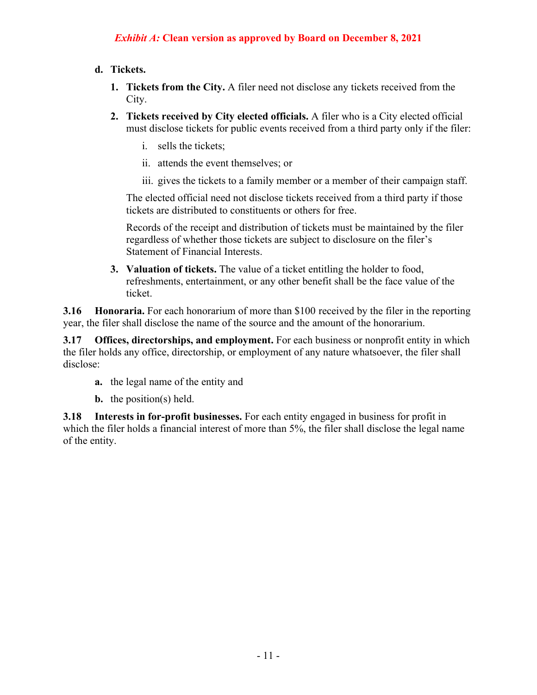#### **d. Tickets.**

- **1. Tickets from the City.** A filer need not disclose any tickets received from the City.
- **2. Tickets received by City elected officials.** A filer who is a City elected official must disclose tickets for public events received from a third party only if the filer:
	- i. sells the tickets;
	- ii. attends the event themselves; or
	- iii. gives the tickets to a family member or a member of their campaign staff.

The elected official need not disclose tickets received from a third party if those tickets are distributed to constituents or others for free.

Records of the receipt and distribution of tickets must be maintained by the filer regardless of whether those tickets are subject to disclosure on the filer's Statement of Financial Interests.

**3. Valuation of tickets.** The value of a ticket entitling the holder to food, refreshments, entertainment, or any other benefit shall be the face value of the ticket.

**3.16 • Honoraria.** For each honorarium of more than \$100 received by the filer in the reporting year, the filer shall disclose the name of the source and the amount of the honorarium.

**3.17 Offices, directorships, and employment.** For each business or nonprofit entity in which the filer holds any office, directorship, or employment of any nature whatsoever, the filer shall disclose:

- **a.** the legal name of the entity and
- **b.** the position(s) held.

**3.18 Interests in for-profit businesses.** For each entity engaged in business for profit in which the filer holds a financial interest of more than 5%, the filer shall disclose the legal name of the entity.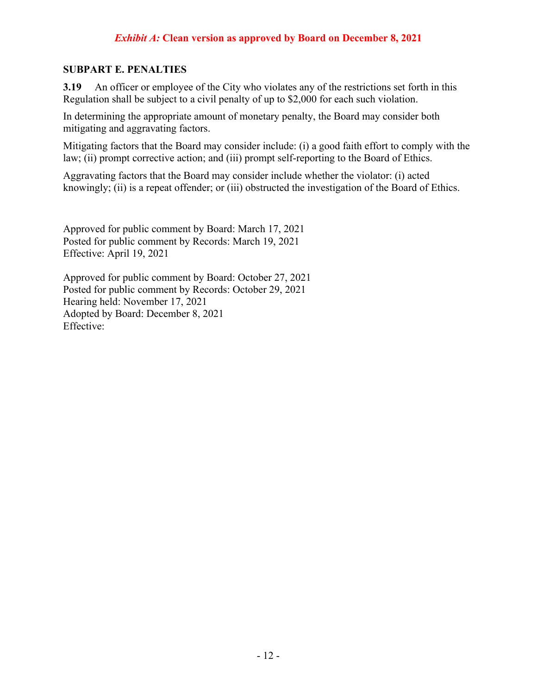#### **SUBPART E. PENALTIES**

**3.19** An officer or employee of the City who violates any of the restrictions set forth in this Regulation shall be subject to a civil penalty of up to \$2,000 for each such violation.

In determining the appropriate amount of monetary penalty, the Board may consider both mitigating and aggravating factors.

Mitigating factors that the Board may consider include: (i) a good faith effort to comply with the law; (ii) prompt corrective action; and (iii) prompt self-reporting to the Board of Ethics.

Aggravating factors that the Board may consider include whether the violator: (i) acted knowingly; (ii) is a repeat offender; or (iii) obstructed the investigation of the Board of Ethics.

Approved for public comment by Board: March 17, 2021 Posted for public comment by Records: March 19, 2021 Effective: April 19, 2021

Approved for public comment by Board: October 27, 2021 Posted for public comment by Records: October 29, 2021 Hearing held: November 17, 2021 Adopted by Board: December 8, 2021 Effective: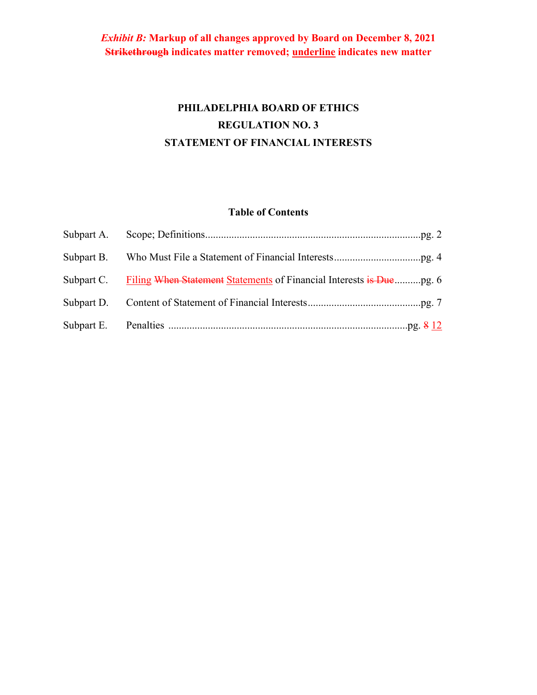# **PHILADELPHIA BOARD OF ETHICS REGULATION NO. 3 STATEMENT OF FINANCIAL INTERESTS**

### **Table of Contents**

| Subpart C. Filing When Statement Statements of Financial Interests is Duepg. 6 |
|--------------------------------------------------------------------------------|
|                                                                                |
|                                                                                |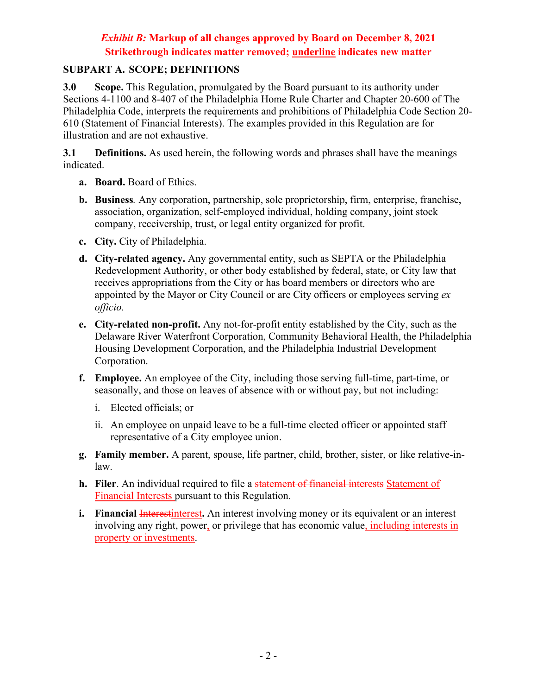#### **SUBPART A. SCOPE; DEFINITIONS**

**3.0 Scope.** This Regulation, promulgated by the Board pursuant to its authority under Sections 4-1100 and 8-407 of the Philadelphia Home Rule Charter and Chapter 20-600 of The Philadelphia Code, interprets the requirements and prohibitions of Philadelphia Code Section 20- 610 (Statement of Financial Interests). The examples provided in this Regulation are for illustration and are not exhaustive.

**3.1 Definitions.** As used herein, the following words and phrases shall have the meanings indicated.

- **a. Board.** Board of Ethics.
- **b. Business***.* Any corporation, partnership, sole proprietorship, firm, enterprise, franchise, association, organization, self-employed individual, holding company, joint stock company, receivership, trust, or legal entity organized for profit.
- **c. City.** City of Philadelphia.
- **d. City-related agency.** Any governmental entity, such as SEPTA or the Philadelphia Redevelopment Authority, or other body established by federal, state, or City law that receives appropriations from the City or has board members or directors who are appointed by the Mayor or City Council or are City officers or employees serving *ex officio.*
- **e. City-related non-profit.** Any not-for-profit entity established by the City, such as the Delaware River Waterfront Corporation, Community Behavioral Health, the Philadelphia Housing Development Corporation, and the Philadelphia Industrial Development Corporation.
- **f. Employee.** An employee of the City, including those serving full-time, part-time, or seasonally, and those on leaves of absence with or without pay, but not including:
	- i. Elected officials; or
	- ii. An employee on unpaid leave to be a full-time elected officer or appointed staff representative of a City employee union.
- **g. Family member.** A parent, spouse, life partner, child, brother, sister, or like relative-inlaw.
- **h. Filer**. An individual required to file a statement of financial interests Statement of Financial Interests pursuant to this Regulation.
- **i.** Financial Interestinterest. An interest involving money or its equivalent or an interest involving any right, power, or privilege that has economic value, including interests in property or investments.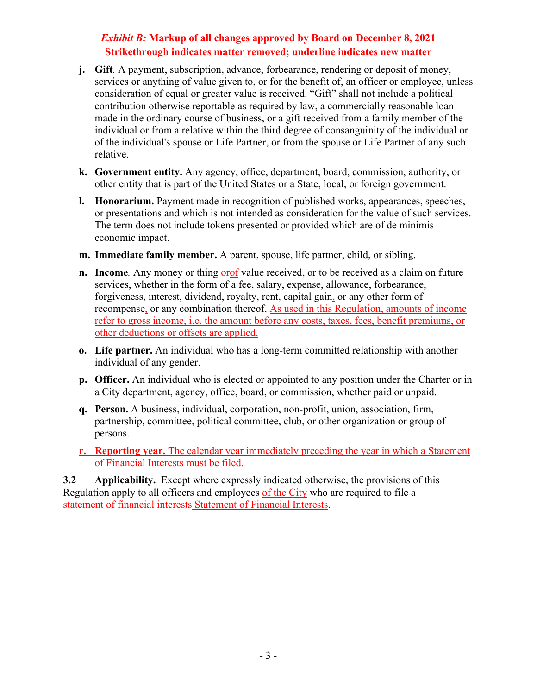- **j. Gift***.* A payment, subscription, advance, forbearance, rendering or deposit of money, services or anything of value given to, or for the benefit of, an officer or employee, unless consideration of equal or greater value is received. "Gift" shall not include a political contribution otherwise reportable as required by law, a commercially reasonable loan made in the ordinary course of business, or a gift received from a family member of the individual or from a relative within the third degree of consanguinity of the individual or of the individual's spouse or Life Partner, or from the spouse or Life Partner of any such relative.
- **k. Government entity.** Any agency, office, department, board, commission, authority, or other entity that is part of the United States or a State, local, or foreign government.
- **l. Honorarium.** Payment made in recognition of published works, appearances, speeches, or presentations and which is not intended as consideration for the value of such services. The term does not include tokens presented or provided which are of de minimis economic impact.
- **m. Immediate family member.** A parent, spouse, life partner, child, or sibling.
- **n. Income**. Any money or thing **erof** value received, or to be received as a claim on future services, whether in the form of a fee, salary, expense, allowance, forbearance, forgiveness, interest, dividend, royalty, rent, capital gain, or any other form of recompense, or any combination thereof. As used in this Regulation, amounts of income refer to gross income, i.e. the amount before any costs, taxes, fees, benefit premiums, or other deductions or offsets are applied.
- **o. Life partner.** An individual who has a long-term committed relationship with another individual of any gender.
- **p. Officer.** An individual who is elected or appointed to any position under the Charter or in a City department, agency, office, board, or commission, whether paid or unpaid.
- **q. Person.** A business, individual, corporation, non-profit, union, association, firm, partnership, committee, political committee, club, or other organization or group of persons.
- **r. Reporting year.** The calendar year immediately preceding the year in which a Statement of Financial Interests must be filed.

**3.2 Applicability.** Except where expressly indicated otherwise, the provisions of this Regulation apply to all officers and employees of the City who are required to file a statement of financial interests Statement of Financial Interests.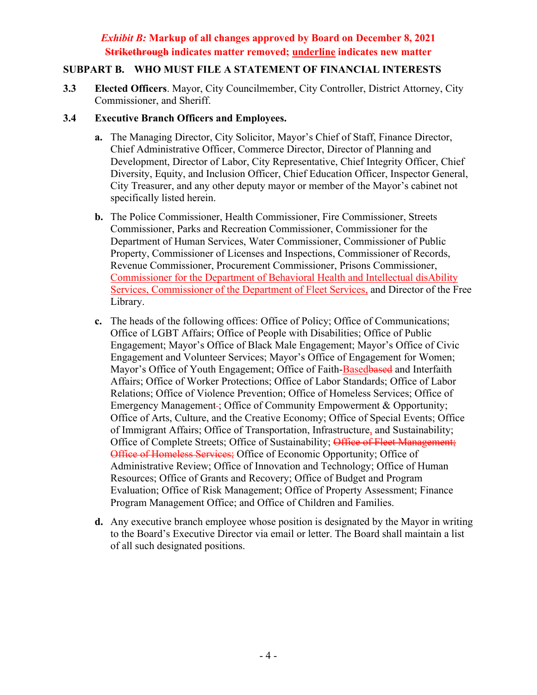### **SUBPART B. WHO MUST FILE A STATEMENT OF FINANCIAL INTERESTS**

**3.3 Elected Officers**. Mayor, City Councilmember, City Controller, District Attorney, City Commissioner, and Sheriff.

#### **3.4 Executive Branch Officers and Employees.**

- **a.** The Managing Director, City Solicitor, Mayor's Chief of Staff, Finance Director, Chief Administrative Officer, Commerce Director, Director of Planning and Development, Director of Labor, City Representative, Chief Integrity Officer, Chief Diversity, Equity, and Inclusion Officer, Chief Education Officer, Inspector General, City Treasurer, and any other deputy mayor or member of the Mayor's cabinet not specifically listed herein.
- **b.** The Police Commissioner, Health Commissioner, Fire Commissioner, Streets Commissioner, Parks and Recreation Commissioner, Commissioner for the Department of Human Services, Water Commissioner, Commissioner of Public Property, Commissioner of Licenses and Inspections, Commissioner of Records, Revenue Commissioner, Procurement Commissioner, Prisons Commissioner, Commissioner for the Department of Behavioral Health and Intellectual disAbility Services, Commissioner of the Department of Fleet Services, and Director of the Free Library.
- **c.** The heads of the following offices: Office of Policy; Office of Communications; Office of LGBT Affairs; Office of People with Disabilities; Office of Public Engagement; Mayor's Office of Black Male Engagement; Mayor's Office of Civic Engagement and Volunteer Services; Mayor's Office of Engagement for Women; Mayor's Office of Youth Engagement; Office of Faith-Basedbased and Interfaith Affairs; Office of Worker Protections; Office of Labor Standards; Office of Labor Relations; Office of Violence Prevention; Office of Homeless Services; Office of Emergency Management-; Office of Community Empowerment & Opportunity; Office of Arts, Culture, and the Creative Economy; Office of Special Events; Office of Immigrant Affairs; Office of Transportation, Infrastructure, and Sustainability; Office of Complete Streets; Office of Sustainability; Office of Fleet Management; Office of Homeless Services; Office of Economic Opportunity; Office of Administrative Review; Office of Innovation and Technology; Office of Human Resources; Office of Grants and Recovery; Office of Budget and Program Evaluation; Office of Risk Management; Office of Property Assessment; Finance Program Management Office; and Office of Children and Families.
- **d.** Any executive branch employee whose position is designated by the Mayor in writing to the Board's Executive Director via email or letter. The Board shall maintain a list of all such designated positions.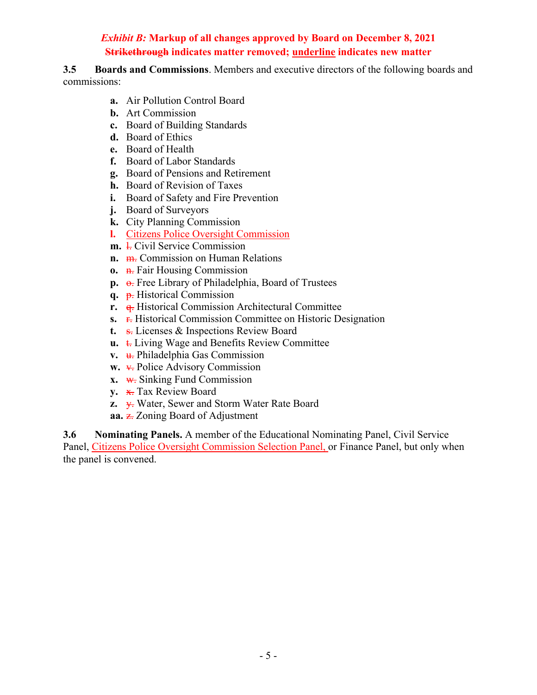**3.5 Boards and Commissions**. Members and executive directors of the following boards and commissions:

- **a.** Air Pollution Control Board
- **b.** Art Commission
- **c.** Board of Building Standards
- **d.** Board of Ethics
- **e.** Board of Health
- **f.** Board of Labor Standards
- **g.** Board of Pensions and Retirement
- **h.** Board of Revision of Taxes
- **i.** Board of Safety and Fire Prevention
- **j.** Board of Surveyors
- **k.** City Planning Commission
- **l.** Citizens Police Oversight Commission
- **m. l.** Civil Service Commission
- **n.** m. Commission on Human Relations
- **o.** <del>n.</del> Fair Housing Commission
- p.  $\Theta$ . Free Library of Philadelphia, Board of Trustees
- **q.** p. Historical Commission
- **r.**  $\theta$ . Historical Commission Architectural Committee
- **s. r.** Historical Commission Committee on Historic Designation
- **t.** s. Licenses & Inspections Review Board
- **u. t.** Living Wage and Benefits Review Committee
- **v. u.** Philadelphia Gas Commission
- **w.**  $\overline{\text{V}}$ . Police Advisory Commission
- **x.** w. Sinking Fund Commission
- **y.** x. Tax Review Board
- **z.**  $\overline{y}$ . Water, Sewer and Storm Water Rate Board
- **aa.** z. Zoning Board of Adjustment

**3.6 Nominating Panels.** A member of the Educational Nominating Panel, Civil Service Panel, Citizens Police Oversight Commission Selection Panel, or Finance Panel, but only when the panel is convened.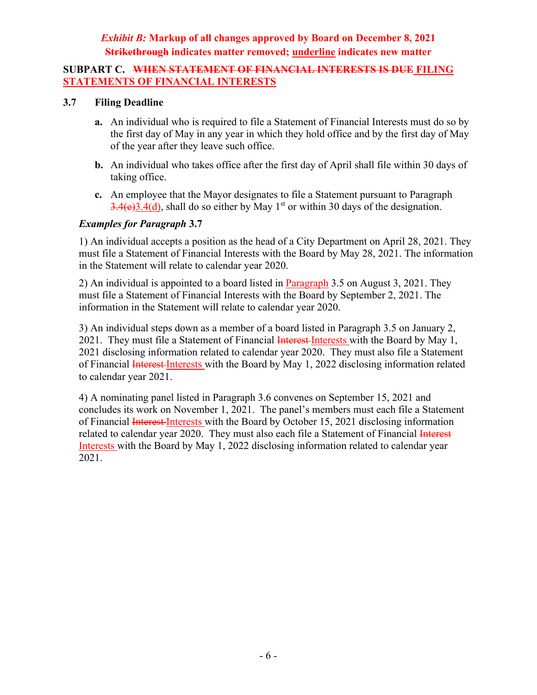#### **SUBPART C. WHEN STATEMENT OF FINANCIAL INTERESTS IS DUE FILING STATEMENTS OF FINANCIAL INTERESTS**

#### **3.7 Filing Deadline**

- **a.** An individual who is required to file a Statement of Financial Interests must do so by the first day of May in any year in which they hold office and by the first day of May of the year after they leave such office.
- **b.** An individual who takes office after the first day of April shall file within 30 days of taking office.
- **c.** An employee that the Mayor designates to file a Statement pursuant to Paragraph  $3.4(e)3.4(d)$ , shall do so either by May 1<sup>st</sup> or within 30 days of the designation.

#### *Examples for Paragraph* **3.7**

1) An individual accepts a position as the head of a City Department on April 28, 2021. They must file a Statement of Financial Interests with the Board by May 28, 2021. The information in the Statement will relate to calendar year 2020.

2) An individual is appointed to a board listed in Paragraph 3.5 on August 3, 2021. They must file a Statement of Financial Interests with the Board by September 2, 2021. The information in the Statement will relate to calendar year 2020.

3) An individual steps down as a member of a board listed in Paragraph 3.5 on January 2, 2021. They must file a Statement of Financial Interest-Interests with the Board by May 1, 2021 disclosing information related to calendar year 2020. They must also file a Statement of Financial *Interest Interests* with the Board by May 1, 2022 disclosing information related to calendar year 2021.

4) A nominating panel listed in Paragraph 3.6 convenes on September 15, 2021 and concludes its work on November 1, 2021. The panel's members must each file a Statement of Financial Interest-Interests with the Board by October 15, 2021 disclosing information related to calendar year 2020. They must also each file a Statement of Financial Interest Interests with the Board by May 1, 2022 disclosing information related to calendar year 2021.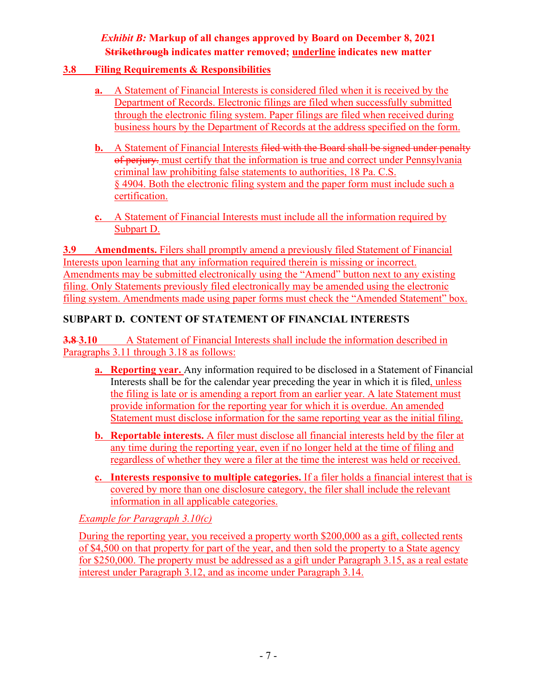#### **3.8 Filing Requirements & Responsibilities**

- **a.** A Statement of Financial Interests is considered filed when it is received by the Department of Records. Electronic filings are filed when successfully submitted through the electronic filing system. Paper filings are filed when received during business hours by the Department of Records at the address specified on the form.
- **b.** A Statement of Financial Interests filed with the Board shall be signed under penalty of perjury. must certify that the information is true and correct under Pennsylvania criminal law prohibiting false statements to authorities, 18 Pa. C.S. § 4904. Both the electronic filing system and the paper form must include such a certification.
- **c.** A Statement of Financial Interests must include all the information required by Subpart D.

**3.9 Amendments.** Filers shall promptly amend a previously filed Statement of Financial Interests upon learning that any information required therein is missing or incorrect. Amendments may be submitted electronically using the "Amend" button next to any existing filing. Only Statements previously filed electronically may be amended using the electronic filing system. Amendments made using paper forms must check the "Amended Statement" box.

### **SUBPART D. CONTENT OF STATEMENT OF FINANCIAL INTERESTS**

**3.8 3.10** A Statement of Financial Interests shall include the information described in Paragraphs 3.11 through 3.18 as follows:

- **a. Reporting year.** Any information required to be disclosed in a Statement of Financial Interests shall be for the calendar year preceding the year in which it is filed, unless the filing is late or is amending a report from an earlier year. A late Statement must provide information for the reporting year for which it is overdue. An amended Statement must disclose information for the same reporting year as the initial filing.
- **b. Reportable interests.** A filer must disclose all financial interests held by the filer at any time during the reporting year, even if no longer held at the time of filing and regardless of whether they were a filer at the time the interest was held or received.
- **c. Interests responsive to multiple categories.** If a filer holds a financial interest that is covered by more than one disclosure category, the filer shall include the relevant information in all applicable categories.

*Example for Paragraph 3.10(c)*

During the reporting year, you received a property worth \$200,000 as a gift, collected rents of \$4,500 on that property for part of the year, and then sold the property to a State agency for \$250,000. The property must be addressed as a gift under Paragraph 3.15, as a real estate interest under Paragraph 3.12, and as income under Paragraph 3.14.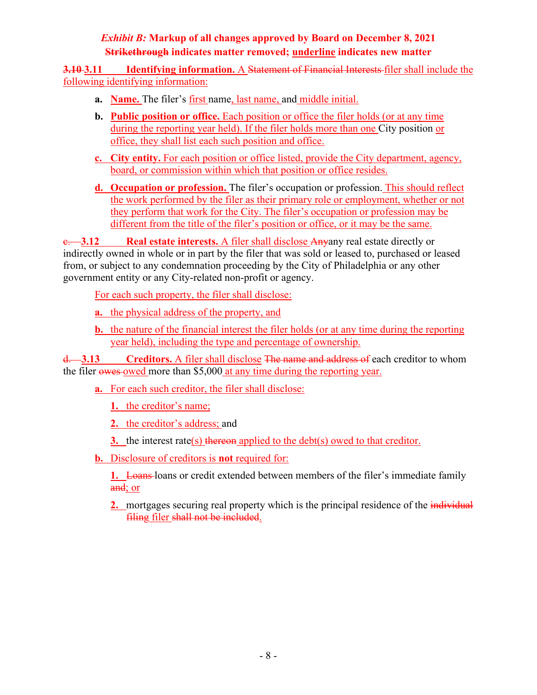**3.10 3.11 Identifying information.** A Statement of Financial Interests filer shall include the following identifying information:

- **a. Name.** The filer's first name, last name, and middle initial.
- **b. Public position or office.** Each position or office the filer holds (or at any time during the reporting year held). If the filer holds more than one City position or office, they shall list each such position and office.
- **c. City entity.** For each position or office listed, provide the City department, agency, board, or commission within which that position or office resides.
- **d. Occupation or profession.** The filer's occupation or profession. This should reflect the work performed by the filer as their primary role or employment, whether or not they perform that work for the City. The filer's occupation or profession may be different from the title of the filer's position or office, or it may be the same.

c. **3.12 Real estate interests.** A filer shall disclose Anyany real estate directly or indirectly owned in whole or in part by the filer that was sold or leased to, purchased or leased from, or subject to any condemnation proceeding by the City of Philadelphia or any other government entity or any City-related non-profit or agency.

For each such property, the filer shall disclose:

**a.** the physical address of the property, and

**b.** the nature of the financial interest the filer holds (or at any time during the reporting year held), including the type and percentage of ownership.

d. **3.13 Creditors.** A filer shall disclose The name and address of each creditor to whom the filer owes owed more than \$5,000 at any time during the reporting year.

**a.** For each such creditor, the filer shall disclose:

**1.** the creditor's name;

**2.** the creditor's address; and

**3.** the interest rate(s) thereon applied to the debt(s) owed to that creditor.

**b.** Disclosure of creditors is **not** required for:

**1.** Loans loans or credit extended between members of the filer's immediate family and; or

**2.** mortgages securing real property which is the principal residence of the *individual* filing filer shall not be included.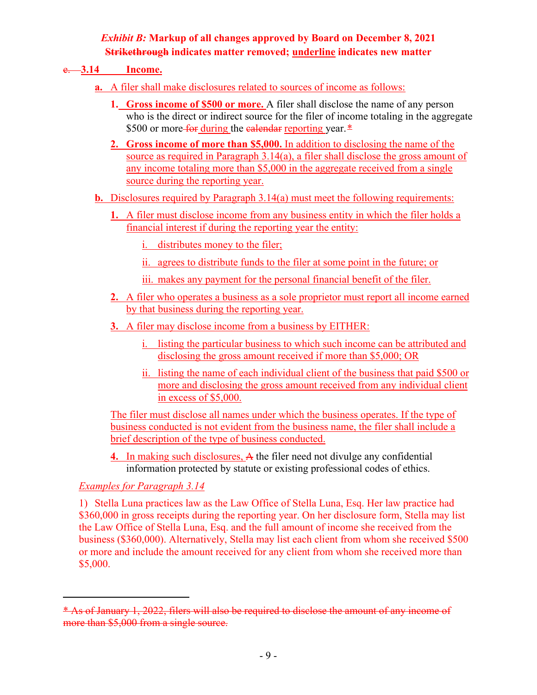#### e. **3.14 Income.**

- **a.** A filer shall make disclosures related to sources of income as follows:
	- **1. Gross income of \$500 or more.** A filer shall disclose the name of any person who is the direct or indirect source for the filer of income totaling in the aggregate \$500 or more for during the calendar reporting year.<sup>[\\*](#page-25-0)</sup>
	- **2. Gross income of more than \$5,000.** In addition to disclosing the name of the source as required in Paragraph 3.14(a), a filer shall disclose the gross amount of any income totaling more than \$5,000 in the aggregate received from a single source during the reporting year.
- **b.** Disclosures required by Paragraph 3.14(a) must meet the following requirements:
	- **1.** A filer must disclose income from any business entity in which the filer holds a financial interest if during the reporting year the entity:
		- i. distributes money to the filer;
		- ii. agrees to distribute funds to the filer at some point in the future; or
		- iii. makes any payment for the personal financial benefit of the filer.
	- **2.** A filer who operates a business as a sole proprietor must report all income earned by that business during the reporting year.
	- **3.** A filer may disclose income from a business by EITHER:
		- i. listing the particular business to which such income can be attributed and disclosing the gross amount received if more than \$5,000; OR
		- ii. listing the name of each individual client of the business that paid \$500 or more and disclosing the gross amount received from any individual client in excess of \$5,000.

The filer must disclose all names under which the business operates. If the type of business conducted is not evident from the business name, the filer shall include a brief description of the type of business conducted.

**4.** In making such disclosures, A the filer need not divulge any confidential information protected by statute or existing professional codes of ethics.

### *Examples for Paragraph 3.14*

1) Stella Luna practices law as the Law Office of Stella Luna, Esq. Her law practice had \$360,000 in gross receipts during the reporting year. On her disclosure form, Stella may list the Law Office of Stella Luna, Esq. and the full amount of income she received from the business (\$360,000). Alternatively, Stella may list each client from whom she received \$500 or more and include the amount received for any client from whom she received more than \$5,000.

<span id="page-25-0"></span><sup>\*</sup> As of January 1, 2022, filers will also be required to disclose the amount of any income of more than \$5,000 from a single source.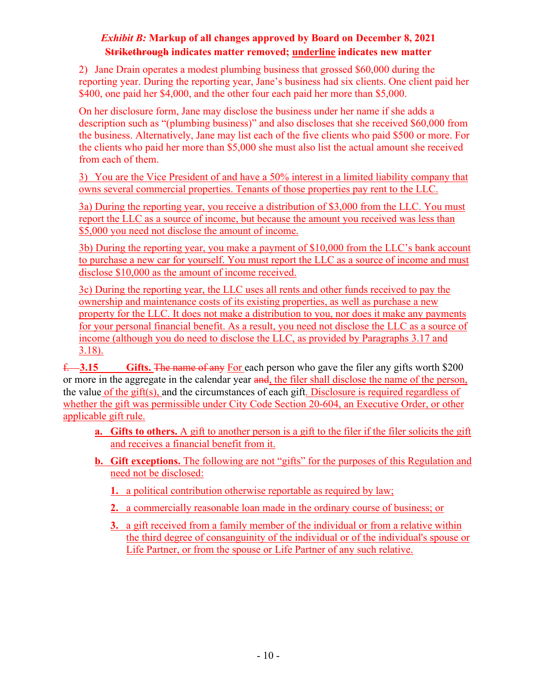2) Jane Drain operates a modest plumbing business that grossed \$60,000 during the reporting year. During the reporting year, Jane's business had six clients. One client paid her \$400, one paid her \$4,000, and the other four each paid her more than \$5,000.

On her disclosure form, Jane may disclose the business under her name if she adds a description such as "(plumbing business)" and also discloses that she received \$60,000 from the business. Alternatively, Jane may list each of the five clients who paid \$500 or more. For the clients who paid her more than \$5,000 she must also list the actual amount she received from each of them.

3) You are the Vice President of and have a 50% interest in a limited liability company that owns several commercial properties. Tenants of those properties pay rent to the LLC.

3a) During the reporting year, you receive a distribution of \$3,000 from the LLC. You must report the LLC as a source of income, but because the amount you received was less than \$5,000 you need not disclose the amount of income.

3b) During the reporting year, you make a payment of \$10,000 from the LLC's bank account to purchase a new car for yourself. You must report the LLC as a source of income and must disclose \$10,000 as the amount of income received.

3c) During the reporting year, the LLC uses all rents and other funds received to pay the ownership and maintenance costs of its existing properties, as well as purchase a new property for the LLC. It does not make a distribution to you, nor does it make any payments for your personal financial benefit. As a result, you need not disclose the LLC as a source of income (although you do need to disclose the LLC, as provided by Paragraphs 3.17 and 3.18).

f. **3.15 Gifts.** The name of any For each person who gave the filer any gifts worth \$200 or more in the aggregate in the calendar year and, the filer shall disclose the name of the person, the value of the gift(s), and the circumstances of each gift. Disclosure is required regardless of whether the gift was permissible under City Code Section 20-604, an Executive Order, or other applicable gift rule.

- **a. Gifts to others.** A gift to another person is a gift to the filer if the filer solicits the gift and receives a financial benefit from it.
- **b. Gift exceptions.** The following are not "gifts" for the purposes of this Regulation and need not be disclosed:
	- **1.** a political contribution otherwise reportable as required by law;
	- **2.** a commercially reasonable loan made in the ordinary course of business; or
	- **3.** a gift received from a family member of the individual or from a relative within the third degree of consanguinity of the individual or of the individual's spouse or Life Partner, or from the spouse or Life Partner of any such relative.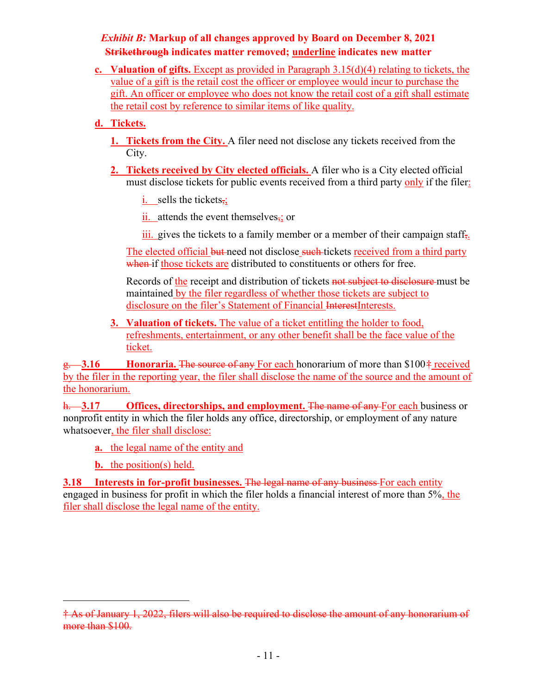**c. Valuation of gifts.** Except as provided in Paragraph 3.15(d)(4) relating to tickets, the value of a gift is the retail cost the officer or employee would incur to purchase the gift. An officer or employee who does not know the retail cost of a gift shall estimate the retail cost by reference to similar items of like quality.

### **d. Tickets.**

- **1. Tickets from the City.** A filer need not disclose any tickets received from the City.
- **2. Tickets received by City elected officials.** A filer who is a City elected official must disclose tickets for public events received from a third party only if the filer:
	- i. sells the tickets $\overline{z}$ ;
	- ii. attends the event themselves $\frac{1}{2}$ ; or
	- $\overline{\text{iii}}$ , gives the tickets to a family member or a member of their campaign staff.

The elected official but need not disclose such tickets received from a third party when if those tickets are distributed to constituents or others for free.

Records of the receipt and distribution of tickets not subject to disclosure must be maintained by the filer regardless of whether those tickets are subject to disclosure on the filer's Statement of Financial InterestInterests.

**3. Valuation of tickets.** The value of a ticket entitling the holder to food, refreshments, entertainment, or any other benefit shall be the face value of the ticket.

g. **3.16 Honoraria.** The source of any For each honorarium of more than \$100[†](#page-27-0) received by the filer in the reporting year, the filer shall disclose the name of the source and the amount of the honorarium.

h. **3.17 Offices, directorships, and employment.** The name of any For each business or nonprofit entity in which the filer holds any office, directorship, or employment of any nature whatsoever, the filer shall disclose:

**a.** the legal name of the entity and

**b.** the position(s) held.

**3.18 Interests in for-profit businesses.** The legal name of any business For each entity engaged in business for profit in which the filer holds a financial interest of more than 5%, the filer shall disclose the legal name of the entity.

<span id="page-27-0"></span><sup>†</sup> As of January 1, 2022, filers will also be required to disclose the amount of any honorarium of more than \$100.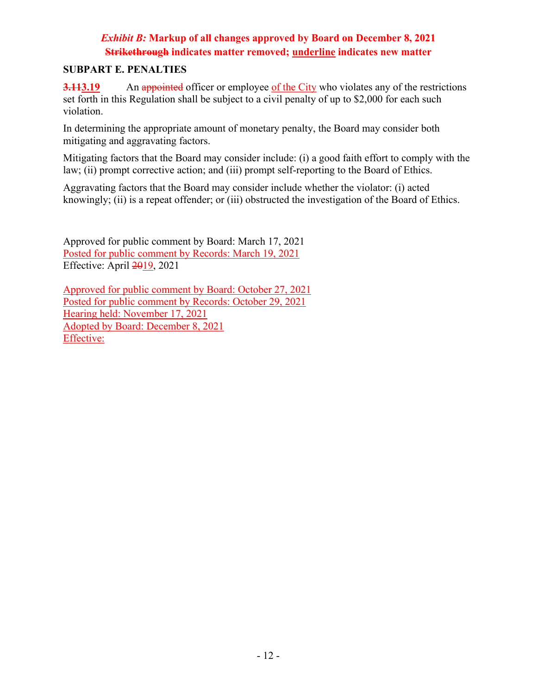#### **SUBPART E. PENALTIES**

**3.113.19** An appointed officer or employee of the City who violates any of the restrictions set forth in this Regulation shall be subject to a civil penalty of up to \$2,000 for each such violation.

In determining the appropriate amount of monetary penalty, the Board may consider both mitigating and aggravating factors.

Mitigating factors that the Board may consider include: (i) a good faith effort to comply with the law; (ii) prompt corrective action; and (iii) prompt self-reporting to the Board of Ethics.

Aggravating factors that the Board may consider include whether the violator: (i) acted knowingly; (ii) is a repeat offender; or (iii) obstructed the investigation of the Board of Ethics.

Approved for public comment by Board: March 17, 2021 Posted for public comment by Records: March 19, 2021 Effective: April 2019, 2021

Approved for public comment by Board: October 27, 2021 Posted for public comment by Records: October 29, 2021 Hearing held: November 17, 2021 Adopted by Board: December 8, 2021 Effective: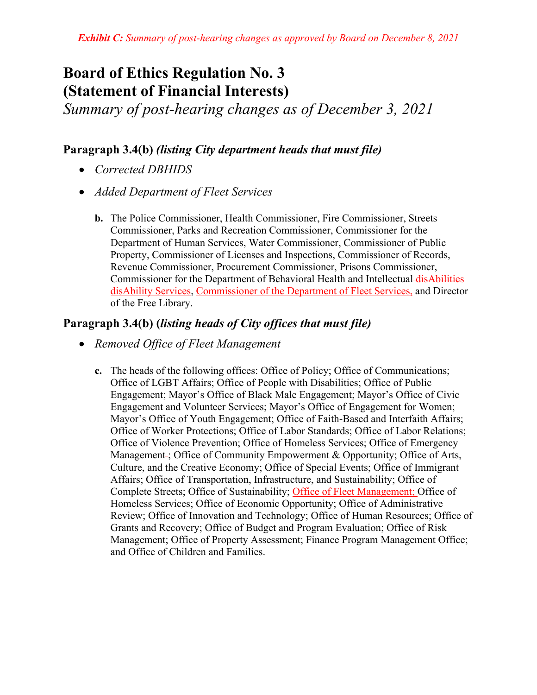# **Board of Ethics Regulation No. 3 (Statement of Financial Interests)**

*Summary of post-hearing changes as of December 3, 2021*

### **Paragraph 3.4(b)** *(listing City department heads that must file)*

- *Corrected DBHIDS*
- *Added Department of Fleet Services*
	- **b.** The Police Commissioner, Health Commissioner, Fire Commissioner, Streets Commissioner, Parks and Recreation Commissioner, Commissioner for the Department of Human Services, Water Commissioner, Commissioner of Public Property, Commissioner of Licenses and Inspections, Commissioner of Records, Revenue Commissioner, Procurement Commissioner, Prisons Commissioner, Commissioner for the Department of Behavioral Health and Intellectual disAbilities disAbility Services, Commissioner of the Department of Fleet Services, and Director of the Free Library.

### **Paragraph 3.4(b) (***listing heads of City offices that must file)*

- *Removed Office of Fleet Management*
	- **c.** The heads of the following offices: Office of Policy; Office of Communications; Office of LGBT Affairs; Office of People with Disabilities; Office of Public Engagement; Mayor's Office of Black Male Engagement; Mayor's Office of Civic Engagement and Volunteer Services; Mayor's Office of Engagement for Women; Mayor's Office of Youth Engagement; Office of Faith-Based and Interfaith Affairs; Office of Worker Protections; Office of Labor Standards; Office of Labor Relations; Office of Violence Prevention; Office of Homeless Services; Office of Emergency Management : Office of Community Empowerment & Opportunity; Office of Arts, Culture, and the Creative Economy; Office of Special Events; Office of Immigrant Affairs; Office of Transportation, Infrastructure, and Sustainability; Office of Complete Streets; Office of Sustainability; Office of Fleet Management; Office of Homeless Services; Office of Economic Opportunity; Office of Administrative Review; Office of Innovation and Technology; Office of Human Resources; Office of Grants and Recovery; Office of Budget and Program Evaluation; Office of Risk Management; Office of Property Assessment; Finance Program Management Office; and Office of Children and Families.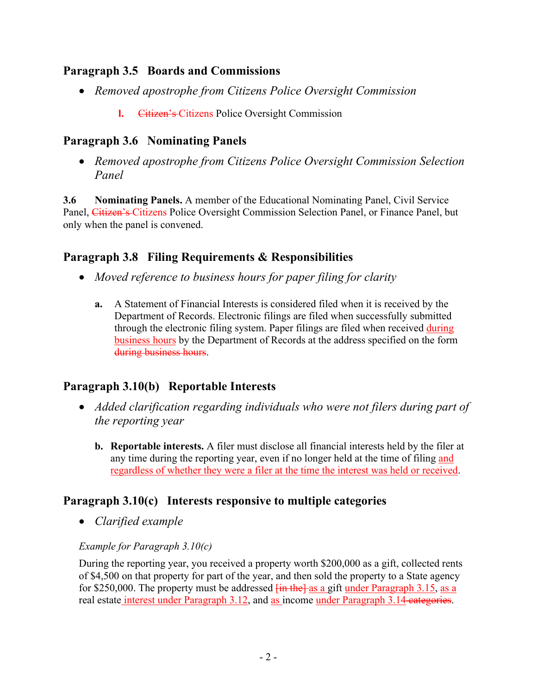### **Paragraph 3.5 Boards and Commissions**

- *Removed apostrophe from Citizens Police Oversight Commission*
	- **l.** Citizen's Citizens Police Oversight Commission

# **Paragraph 3.6 Nominating Panels**

• *Removed apostrophe from Citizens Police Oversight Commission Selection Panel*

**3.6 Nominating Panels.** A member of the Educational Nominating Panel, Civil Service Panel, Citizen's Citizens Police Oversight Commission Selection Panel, or Finance Panel, but only when the panel is convened.

# **Paragraph 3.8 Filing Requirements & Responsibilities**

- *Moved reference to business hours for paper filing for clarity*
	- **a.** A Statement of Financial Interests is considered filed when it is received by the Department of Records. Electronic filings are filed when successfully submitted through the electronic filing system. Paper filings are filed when received during business hours by the Department of Records at the address specified on the form during business hours.

# **Paragraph 3.10(b) Reportable Interests**

- *Added clarification regarding individuals who were not filers during part of the reporting year*
	- **b. Reportable interests.** A filer must disclose all financial interests held by the filer at any time during the reporting year, even if no longer held at the time of filing and regardless of whether they were a filer at the time the interest was held or received.

# **Paragraph 3.10(c) Interests responsive to multiple categories**

• *Clarified example*

### *Example for Paragraph 3.10(c)*

During the reporting year, you received a property worth \$200,000 as a gift, collected rents of \$4,500 on that property for part of the year, and then sold the property to a State agency for \$250,000. The property must be addressed  $\frac{\text{fin the}}{\text{as a}}}$  a gift under Paragraph 3.15, as a real estate interest under Paragraph 3.12, and as income under Paragraph 3.14 categories.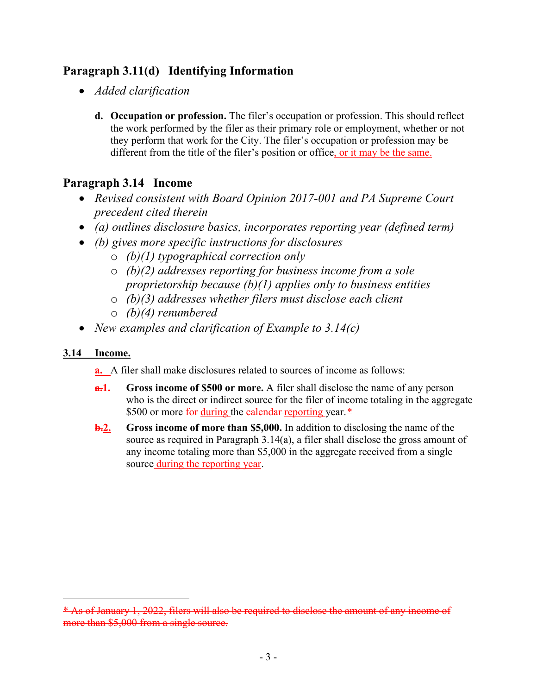# **Paragraph 3.11(d) Identifying Information**

- *Added clarification*
	- **d. Occupation or profession.** The filer's occupation or profession. This should reflect the work performed by the filer as their primary role or employment, whether or not they perform that work for the City. The filer's occupation or profession may be different from the title of the filer's position or office, or it may be the same.

# **Paragraph 3.14 Income**

- *Revised consistent with Board Opinion 2017-001 and PA Supreme Court precedent cited therein*
- *(a) outlines disclosure basics, incorporates reporting year (defined term)*
- *(b) gives more specific instructions for disclosures*
	- o *(b)(1) typographical correction only*
	- o *(b)(2) addresses reporting for business income from a sole proprietorship because (b)(1) applies only to business entities*
	- o *(b)(3) addresses whether filers must disclose each client*
	- o *(b)(4) renumbered*
- *New examples and clarification of Example to 3.14(c)*

### **3.14 Income.**

**a.** A filer shall make disclosures related to sources of income as follows:

- **a.1. Gross income of \$500 or more.** A filer shall disclose the name of any person who is the direct or indirect source for the filer of income totaling in the aggregate \$500 or more for during the calendar-reporting year. [\\*](#page-31-0)
- **b.2. Gross income of more than \$5,000.** In addition to disclosing the name of the source as required in Paragraph 3.14(a), a filer shall disclose the gross amount of any income totaling more than \$5,000 in the aggregate received from a single source during the reporting year.

<span id="page-31-0"></span><sup>\*</sup> As of January 1, 2022, filers will also be required to disclose the amount of any income of more than \$5,000 from a single source.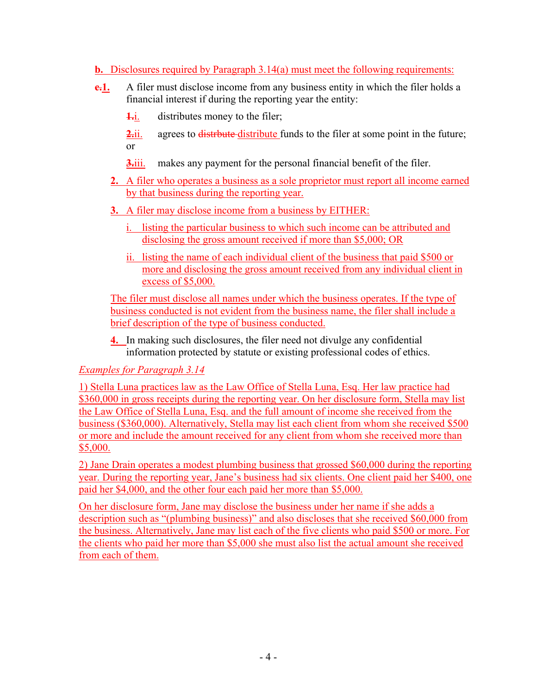#### **b.** Disclosures required by Paragraph 3.14(a) must meet the following requirements:

- **e.1.** A filer must disclose income from any business entity in which the filer holds a financial interest if during the reporting year the entity:
	- **1.**i. distributes money to the filer;

**2.**ii. agrees to distribute distribute funds to the filer at some point in the future; or

- **3.**iii. makes any payment for the personal financial benefit of the filer.
- **2.** A filer who operates a business as a sole proprietor must report all income earned by that business during the reporting year.
- **3.** A filer may disclose income from a business by EITHER:
	- i. listing the particular business to which such income can be attributed and disclosing the gross amount received if more than \$5,000; OR
	- ii. listing the name of each individual client of the business that paid \$500 or more and disclosing the gross amount received from any individual client in excess of \$5,000.

The filer must disclose all names under which the business operates. If the type of business conducted is not evident from the business name, the filer shall include a brief description of the type of business conducted.

**4.** In making such disclosures, the filer need not divulge any confidential information protected by statute or existing professional codes of ethics.

### *Examples for Paragraph 3.14*

1) Stella Luna practices law as the Law Office of Stella Luna, Esq. Her law practice had \$360,000 in gross receipts during the reporting year. On her disclosure form, Stella may list the Law Office of Stella Luna, Esq. and the full amount of income she received from the business (\$360,000). Alternatively, Stella may list each client from whom she received \$500 or more and include the amount received for any client from whom she received more than \$5,000.

2) Jane Drain operates a modest plumbing business that grossed \$60,000 during the reporting year. During the reporting year, Jane's business had six clients. One client paid her \$400, one paid her \$4,000, and the other four each paid her more than \$5,000.

On her disclosure form, Jane may disclose the business under her name if she adds a description such as "(plumbing business)" and also discloses that she received \$60,000 from the business. Alternatively, Jane may list each of the five clients who paid \$500 or more. For the clients who paid her more than \$5,000 she must also list the actual amount she received from each of them.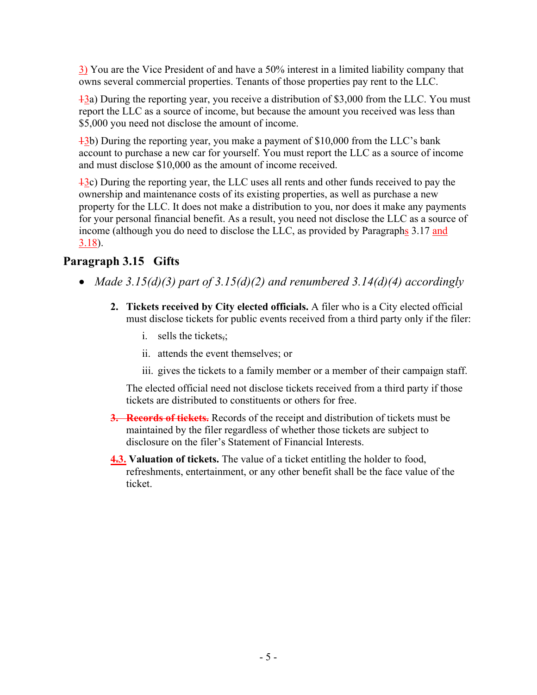3) You are the Vice President of and have a 50% interest in a limited liability company that owns several commercial properties. Tenants of those properties pay rent to the LLC.

 $\frac{13}{2}$ a) During the reporting year, you receive a distribution of \$3,000 from the LLC. You must report the LLC as a source of income, but because the amount you received was less than \$5,000 you need not disclose the amount of income.

13b) During the reporting year, you make a payment of \$10,000 from the LLC's bank account to purchase a new car for yourself. You must report the LLC as a source of income and must disclose \$10,000 as the amount of income received.

13c) During the reporting year, the LLC uses all rents and other funds received to pay the ownership and maintenance costs of its existing properties, as well as purchase a new property for the LLC. It does not make a distribution to you, nor does it make any payments for your personal financial benefit. As a result, you need not disclose the LLC as a source of income (although you do need to disclose the LLC, as provided by Paragraphs 3.17 and 3.18).

# **Paragraph 3.15 Gifts**

- *Made 3.15(d)(3) part of 3.15(d)(2) and renumbered 3.14(d)(4) accordingly*
	- **2. Tickets received by City elected officials.** A filer who is a City elected official must disclose tickets for public events received from a third party only if the filer:
		- i. sells the tickets,;
		- ii. attends the event themselves; or
		- iii. gives the tickets to a family member or a member of their campaign staff.

The elected official need not disclose tickets received from a third party if those tickets are distributed to constituents or others for free.

- **3. Records of tickets.** Records of the receipt and distribution of tickets must be maintained by the filer regardless of whether those tickets are subject to disclosure on the filer's Statement of Financial Interests.
- **4.3. Valuation of tickets.** The value of a ticket entitling the holder to food, refreshments, entertainment, or any other benefit shall be the face value of the ticket.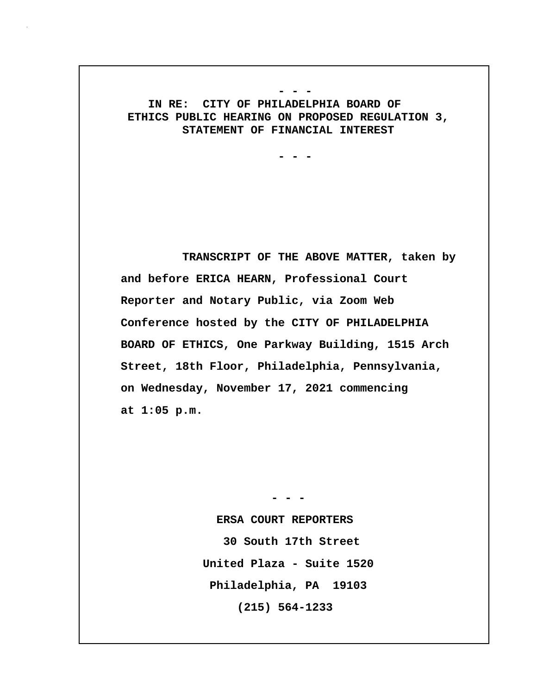#### **IN RE: CITY OF PHILADELPHIA BOARD OF ETHICS PUBLIC HEARING ON PROPOSED REGULATION 3, STATEMENT OF FINANCIAL INTEREST**

 **- - -**

 **- - -**

 **TRANSCRIPT OF THE ABOVE MATTER, taken by and before ERICA HEARN, Professional Court Reporter and Notary Public, via Zoom Web Conference hosted by the CITY OF PHILADELPHIA BOARD OF ETHICS, One Parkway Building, 1515 Arch Street, 18th Floor, Philadelphia, Pennsylvania, on Wednesday, November 17, 2021 commencing at 1:05 p.m.**

> **ERSA COURT REPORTERS 30 South 17th Street United Plaza - Suite 1520 Philadelphia, PA 19103 (215) 564-1233**

 **- - -**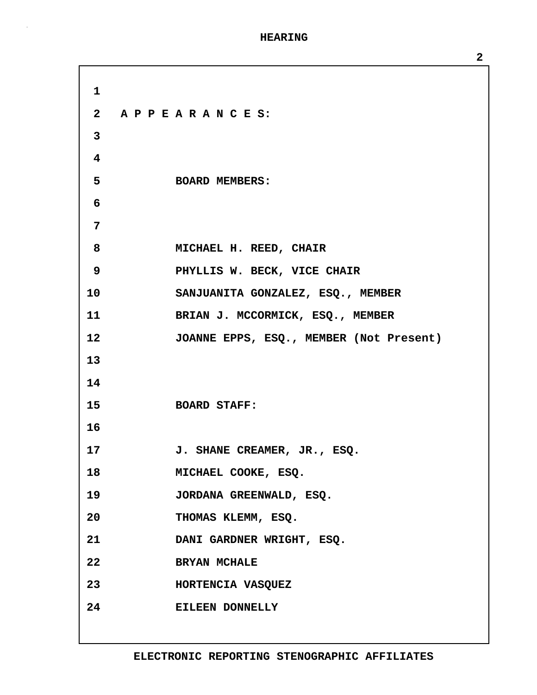**1 2 A P P E A R A N C E S: 3 4 5 BOARD MEMBERS: 6 7 8 MICHAEL H. REED, CHAIR 9 PHYLLIS W. BECK, VICE CHAIR 10 SANJUANITA GONZALEZ, ESQ., MEMBER 11 BRIAN J. MCCORMICK, ESQ., MEMBER 12 JOANNE EPPS, ESQ., MEMBER (Not Present) 13 14 15 BOARD STAFF: 16 17 J. SHANE CREAMER, JR., ESQ. 18 MICHAEL COOKE, ESQ. 19 JORDANA GREENWALD, ESQ. 20 THOMAS KLEMM, ESQ. 21 DANI GARDNER WRIGHT, ESQ. 22 BRYAN MCHALE 23 HORTENCIA VASQUEZ 24 EILEEN DONNELLY**

**2**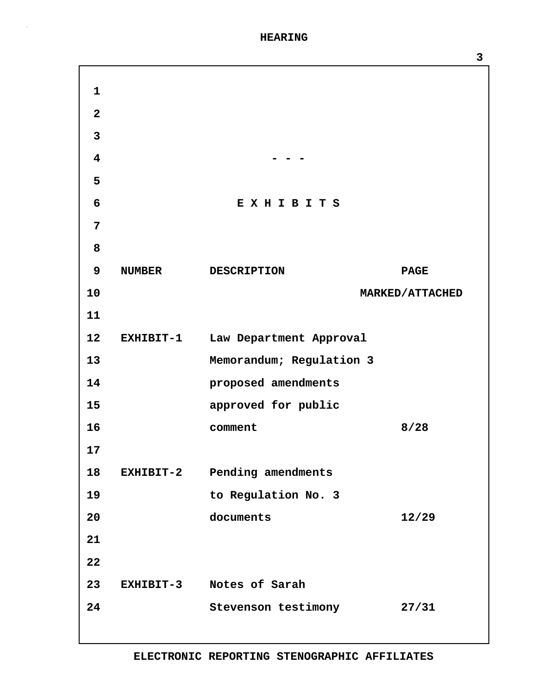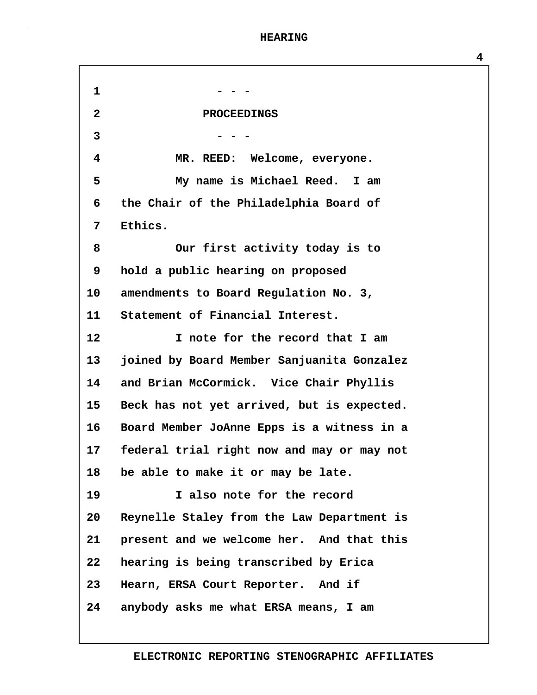**1 - - - 2 PROCEEDINGS 3 - - - 4 MR. REED: Welcome, everyone. 5 My name is Michael Reed. I am 6 the Chair of the Philadelphia Board of 7 Ethics. 8 Our first activity today is to 9 hold a public hearing on proposed 10 amendments to Board Regulation No. 3, 11 Statement of Financial Interest. 12 I note for the record that I am 13 joined by Board Member Sanjuanita Gonzalez 14 and Brian McCormick. Vice Chair Phyllis 15 Beck has not yet arrived, but is expected. 16 Board Member JoAnne Epps is a witness in a 17 federal trial right now and may or may not 18 be able to make it or may be late. 19 I also note for the record 20 Reynelle Staley from the Law Department is 21 present and we welcome her. And that this 22 hearing is being transcribed by Erica 23 Hearn, ERSA Court Reporter. And if 24 anybody asks me what ERSA means, I am**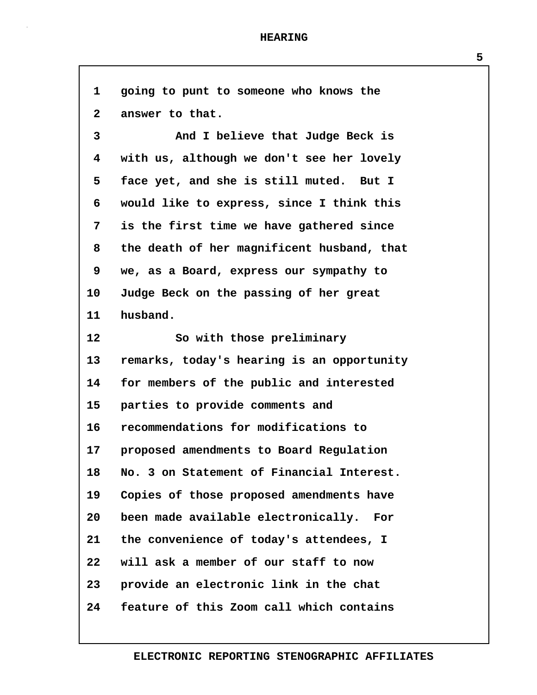| 1            | going to punt to someone who knows the     |
|--------------|--------------------------------------------|
| $\mathbf{2}$ | answer to that.                            |
| 3            | And I believe that Judge Beck is           |
| 4            | with us, although we don't see her lovely  |
| 5            | face yet, and she is still muted. But I    |
| 6            | would like to express, since I think this  |
| 7            | is the first time we have gathered since   |
| 8            | the death of her magnificent husband, that |
| 9            | we, as a Board, express our sympathy to    |
| $10 \,$      | Judge Beck on the passing of her great     |
| 11           | husband.                                   |
| 12           | So with those preliminary                  |
| 13           | remarks, today's hearing is an opportunity |
| 14           | for members of the public and interested   |
| 15           | parties to provide comments and            |
| 16           | recommendations for modifications to       |
| $17 \,$      | proposed amendments to Board Regulation    |
| 18           | No. 3 on Statement of Financial Interest.  |
| 19           | Copies of those proposed amendments have   |
| 20           | been made available electronically. For    |
| 21           | the convenience of today's attendees, I    |
| 22           | will ask a member of our staff to now      |
| 23           | provide an electronic link in the chat     |
| 24           | feature of this Zoom call which contains   |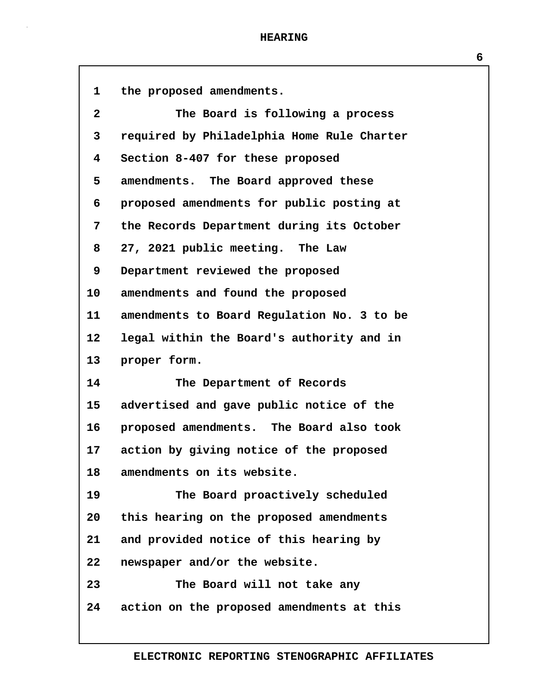| $\mathbf{1}$            | the proposed amendments.                   |
|-------------------------|--------------------------------------------|
| $\mathbf{2}$            | The Board is following a process           |
| 3                       | required by Philadelphia Home Rule Charter |
| $\overline{\mathbf{4}}$ | Section 8-407 for these proposed           |
| 5                       | amendments. The Board approved these       |
| 6                       | proposed amendments for public posting at  |
| 7                       | the Records Department during its October  |
| 8                       | 27, 2021 public meeting. The Law           |
| 9                       | Department reviewed the proposed           |
| 10                      | amendments and found the proposed          |
| 11                      | amendments to Board Regulation No. 3 to be |
| 12 <sup>2</sup>         | legal within the Board's authority and in  |
| 13                      | proper form.                               |
| 14                      | The Department of Records                  |
| 15                      | advertised and gave public notice of the   |
| $16 \,$                 | proposed amendments. The Board also took   |
| 17                      | action by giving notice of the proposed    |
| 18                      | amendments on its website.                 |
| 19                      | The Board proactively scheduled            |
| 20                      | this hearing on the proposed amendments    |
| 21                      | and provided notice of this hearing by     |
| 22                      | newspaper and/or the website.              |
| 23                      | The Board will not take any                |
| 24                      | action on the proposed amendments at this  |
|                         |                                            |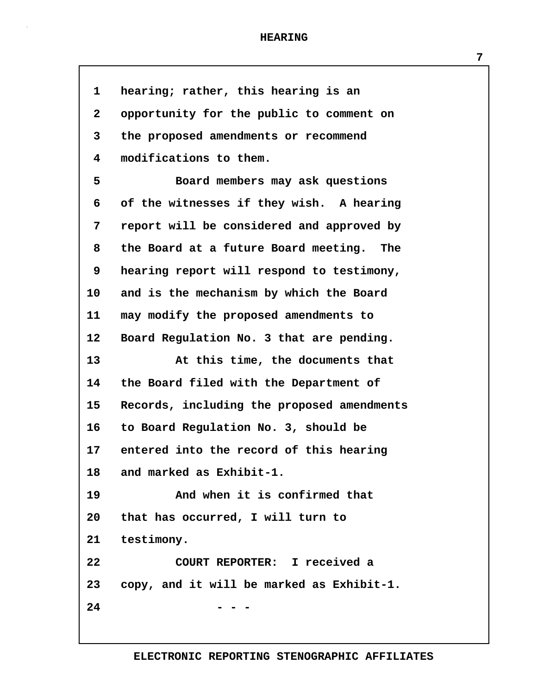| $\mathbf{1}$            | hearing; rather, this hearing is an          |
|-------------------------|----------------------------------------------|
| $\mathbf{2}$            | opportunity for the public to comment on     |
| 3                       | the proposed amendments or recommend         |
| $\overline{\mathbf{4}}$ | modifications to them.                       |
| 5                       | Board members may ask questions              |
| 6                       | of the witnesses if they wish. A hearing     |
| 7                       | report will be considered and approved by    |
| 8                       | the Board at a future Board meeting. The     |
| 9                       | hearing report will respond to testimony,    |
| 10                      | and is the mechanism by which the Board      |
| 11                      | may modify the proposed amendments to        |
| 12                      | Board Regulation No. 3 that are pending.     |
| 13                      | At this time, the documents that             |
| 14                      | the Board filed with the Department of       |
| 15                      | Records, including the proposed amendments   |
| 16                      | to Board Regulation No. 3, should be         |
| 17                      | entered into the record of this hearing      |
| 18                      | and marked as Exhibit-1.                     |
| 19                      | And when it is confirmed that                |
| 20 <sub>o</sub>         | that has occurred, I will turn to            |
| 21                      | testimony.                                   |
| 22                      | COURT REPORTER: I received a                 |
|                         | 23 copy, and it will be marked as Exhibit-1. |
| 24                      |                                              |
|                         |                                              |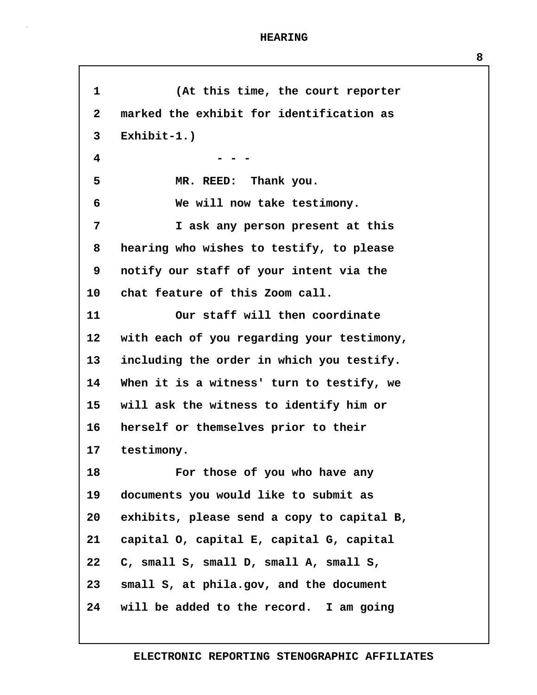**1 (At this time, the court reporter 2 marked the exhibit for identification as 3 Exhibit-1.) 4 - - - 5 MR. REED: Thank you. 6 We will now take testimony. 7 I ask any person present at this 8 hearing who wishes to testify, to please 9 notify our staff of your intent via the 10 chat feature of this Zoom call. 11 Our staff will then coordinate 12 with each of you regarding your testimony, 13 including the order in which you testify. 14 When it is a witness' turn to testify, we 15 will ask the witness to identify him or 16 herself or themselves prior to their 17 testimony. 18 For those of you who have any 19 documents you would like to submit as 20 exhibits, please send a copy to capital B, 21 capital O, capital E, capital G, capital 22 C, small S, small D, small A, small S, 23 small S, at phila.gov, and the document 24 will be added to the record. I am going**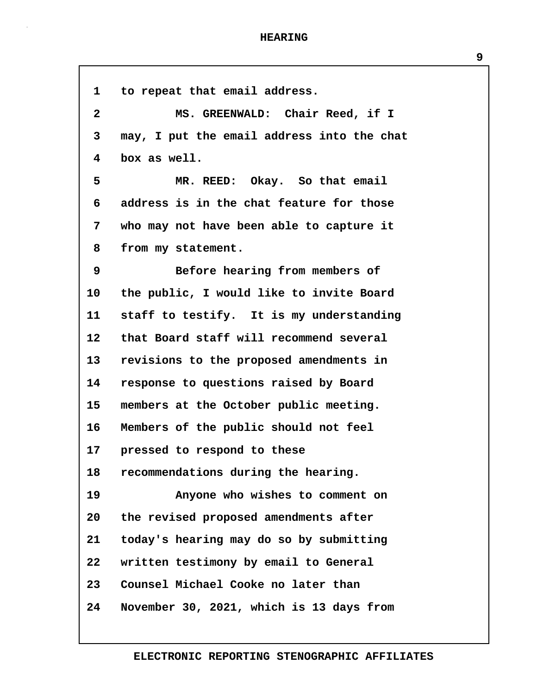Г

| 1                       | to repeat that email address.              |
|-------------------------|--------------------------------------------|
| $\overline{\mathbf{2}}$ | MS. GREENWALD: Chair Reed, if I            |
| 3                       | may, I put the email address into the chat |
| 4                       | box as well.                               |
| 5                       | MR. REED: Okay. So that email              |
| 6                       | address is in the chat feature for those   |
| 7                       | who may not have been able to capture it   |
| 8                       | from my statement.                         |
| 9                       | Before hearing from members of             |
| 10                      | the public, I would like to invite Board   |
| 11                      | staff to testify. It is my understanding   |
| 12                      | that Board staff will recommend several    |
| 13                      | revisions to the proposed amendments in    |
| 14                      | response to questions raised by Board      |
| 15                      | members at the October public meeting.     |
| 16                      | Members of the public should not feel      |
| 17 <sub>2</sub>         | pressed to respond to these                |
| 18                      | recommendations during the hearing.        |
| 19                      | Anyone who wishes to comment on            |
| 20                      | the revised proposed amendments after      |
| 21                      | today's hearing may do so by submitting    |
| 22                      | written testimony by email to General      |
| 23                      | Counsel Michael Cooke no later than        |
| 24                      | November 30, 2021, which is 13 days from   |
|                         |                                            |

**9**

# **ELECTRONIC REPORTING STENOGRAPHIC AFFILIATES**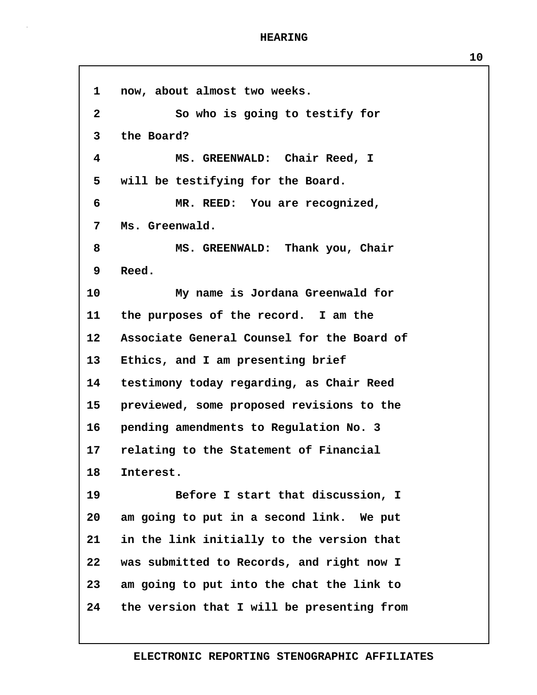**1 now, about almost two weeks. 2 So who is going to testify for 3 the Board? 4 MS. GREENWALD: Chair Reed, I 5 will be testifying for the Board. 6 MR. REED: You are recognized, 7 Ms. Greenwald. 8 MS. GREENWALD: Thank you, Chair 9 Reed. 10 My name is Jordana Greenwald for 11 the purposes of the record. I am the 12 Associate General Counsel for the Board of 13 Ethics, and I am presenting brief 14 testimony today regarding, as Chair Reed 15 previewed, some proposed revisions to the 16 pending amendments to Regulation No. 3 17 relating to the Statement of Financial 18 Interest. 19 Before I start that discussion, I 20 am going to put in a second link. We put 21 in the link initially to the version that 22 was submitted to Records, and right now I 23 am going to put into the chat the link to 24 the version that I will be presenting from**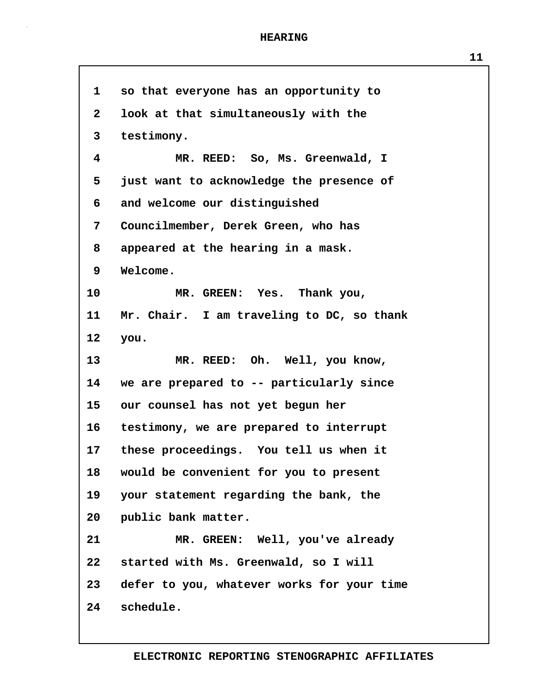**1 so that everyone has an opportunity to 2 look at that simultaneously with the 3 testimony. 4 MR. REED: So, Ms. Greenwald, I 5 just want to acknowledge the presence of 6 and welcome our distinguished 7 Councilmember, Derek Green, who has 8 appeared at the hearing in a mask. 9 Welcome. 10 MR. GREEN: Yes. Thank you, 11 Mr. Chair. I am traveling to DC, so thank 12 you. 13 MR. REED: Oh. Well, you know, 14 we are prepared to -- particularly since 15 our counsel has not yet begun her 16 testimony, we are prepared to interrupt 17 these proceedings. You tell us when it 18 would be convenient for you to present 19 your statement regarding the bank, the 20 public bank matter. 21 MR. GREEN: Well, you've already 22 started with Ms. Greenwald, so I will 23 defer to you, whatever works for your time 24 schedule.**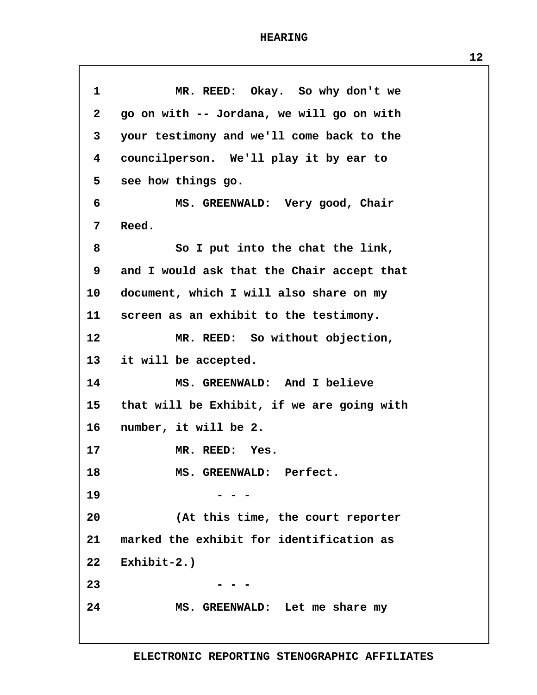| $\mathbf{1}$ | MR. REED: Okay. So why don't we            |
|--------------|--------------------------------------------|
| $\mathbf{2}$ | go on with -- Jordana, we will go on with  |
| 3            | your testimony and we'll come back to the  |
| 4            | councilperson. We'll play it by ear to     |
| 5            | see how things go.                         |
| 6            | MS. GREENWALD: Very good, Chair            |
| 7            | Reed.                                      |
| 8            | So I put into the chat the link,           |
| 9            | and I would ask that the Chair accept that |
| 10           | document, which I will also share on my    |
| 11           | screen as an exhibit to the testimony.     |
| 12           | MR. REED: So without objection,            |
| 13           | it will be accepted.                       |
| 14           | MS. GREENWALD: And I believe               |
| 15           | that will be Exhibit, if we are going with |
| $16 \,$      | number, it will be 2.                      |
| 17           | MR. REED: Yes.                             |
| 18           | MS. GREENWALD: Perfect.                    |
| 19           |                                            |
| 20           | (At this time, the court reporter          |
| 21           | marked the exhibit for identification as   |
| $22 \,$      | Exhibit- $2.$ )                            |
| 23           |                                            |
| 24           | MS. GREENWALD: Let me share my             |
|              |                                            |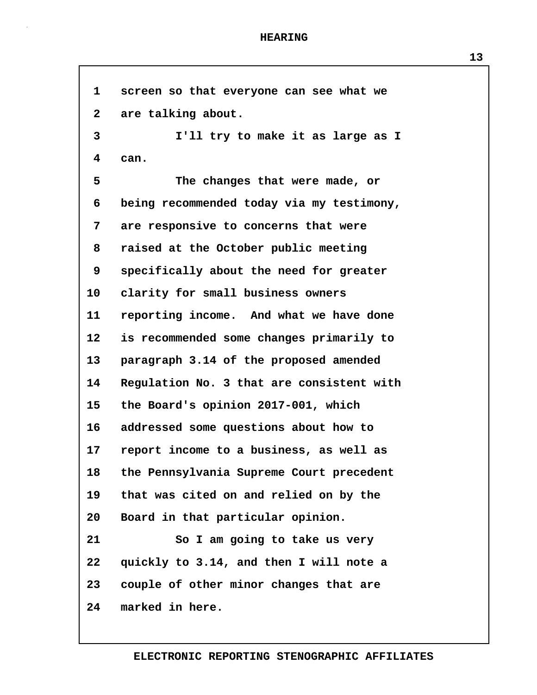**1 screen so that everyone can see what we 2 are talking about. 3 I'll try to make it as large as I 4 can. 5 The changes that were made, or 6 being recommended today via my testimony, 7 are responsive to concerns that were 8 raised at the October public meeting 9 specifically about the need for greater 10 clarity for small business owners 11 reporting income. And what we have done 12 is recommended some changes primarily to 13 paragraph 3.14 of the proposed amended 14 Regulation No. 3 that are consistent with 15 the Board's opinion 2017-001, which 16 addressed some questions about how to 17 report income to a business, as well as 18 the Pennsylvania Supreme Court precedent 19 that was cited on and relied on by the 20 Board in that particular opinion. 21 So I am going to take us very 22 quickly to 3.14, and then I will note a 23 couple of other minor changes that are 24 marked in here.**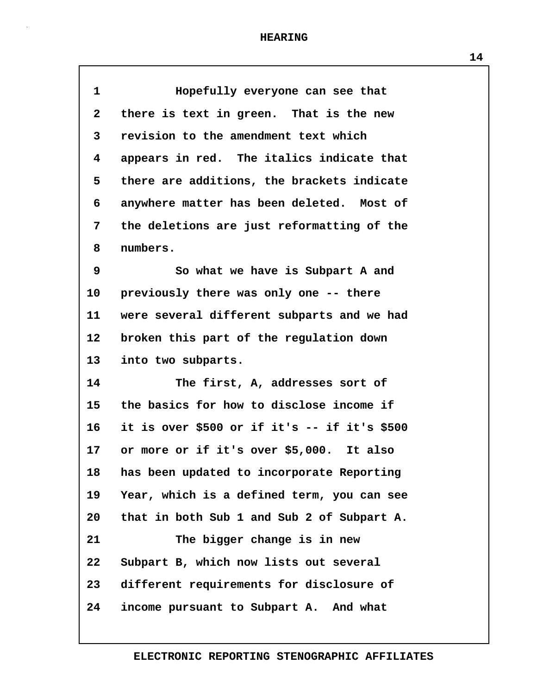| $\mathbf 1$  | Hopefully everyone can see that              |
|--------------|----------------------------------------------|
| $\mathbf{2}$ | there is text in green. That is the new      |
| 3            | revision to the amendment text which         |
| 4            | appears in red. The italics indicate that    |
| 5            | there are additions, the brackets indicate   |
| 6            | anywhere matter has been deleted. Most of    |
| 7            | the deletions are just reformatting of the   |
| 8            | numbers.                                     |
| 9            | So what we have is Subpart A and             |
| 10           | previously there was only one -- there       |
| 11           | were several different subparts and we had   |
| $12 \,$      | broken this part of the regulation down      |
| 13           | into two subparts.                           |
| 14           | The first, A, addresses sort of              |
| 15           | the basics for how to disclose income if     |
| $16 \,$      | it is over \$500 or if it's -- if it's \$500 |
| 17           | or more or if it's over \$5,000. It also     |
| 18           | has been updated to incorporate Reporting    |
| 19           | Year, which is a defined term, you can see   |
| 20           | that in both Sub 1 and Sub 2 of Subpart A.   |
| 21           | The bigger change is in new                  |
| 22           | Subpart B, which now lists out several       |
| 23           | different requirements for disclosure of     |
| 24           | income pursuant to Subpart A. And what       |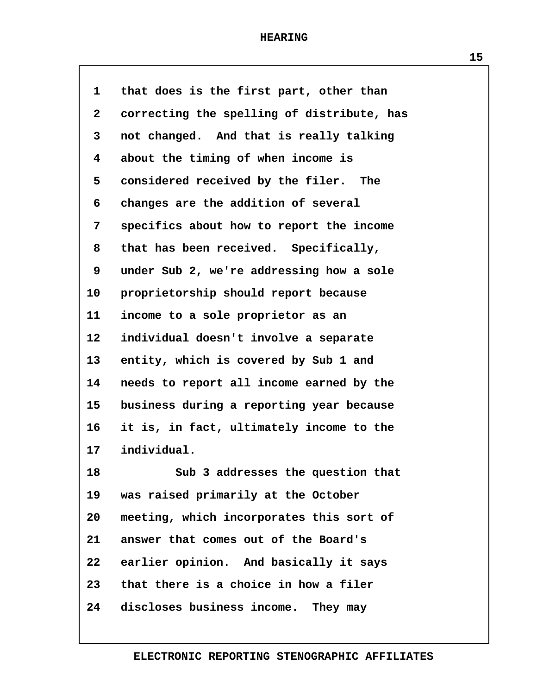| $\mathbf{1}$ | that does is the first part, other than    |
|--------------|--------------------------------------------|
| $\mathbf{2}$ | correcting the spelling of distribute, has |
| 3            | not changed. And that is really talking    |
| 4            | about the timing of when income is         |
| 5            | considered received by the filer. The      |
| 6            | changes are the addition of several        |
| 7            | specifics about how to report the income   |
| 8            | that has been received. Specifically,      |
| 9            | under Sub 2, we're addressing how a sole   |
| 10           | proprietorship should report because       |
| 11           | income to a sole proprietor as an          |
| 12           | individual doesn't involve a separate      |
| 13           | entity, which is covered by Sub 1 and      |
| 14           | needs to report all income earned by the   |
| 15           | business during a reporting year because   |
| 16           | it is, in fact, ultimately income to the   |
| 17           | individual.                                |
| 18           | Sub 3 addresses the question that          |
| 19           | was raised primarily at the October        |
| 20           | meeting, which incorporates this sort of   |
| 21           | answer that comes out of the Board's       |
| 22           | earlier opinion. And basically it says     |
| 23           | that there is a choice in how a filer      |
| 24           | discloses business income. They may        |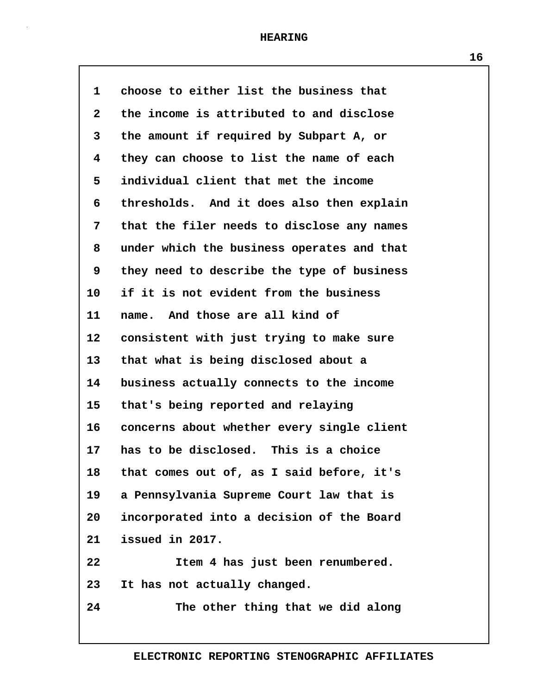| 1               | choose to either list the business that    |
|-----------------|--------------------------------------------|
| $\mathbf{2}$    | the income is attributed to and disclose   |
| 3               | the amount if required by Subpart A, or    |
| 4               | they can choose to list the name of each   |
| 5               | individual client that met the income      |
| 6               | thresholds. And it does also then explain  |
| 7               | that the filer needs to disclose any names |
| 8               | under which the business operates and that |
| 9               | they need to describe the type of business |
| 10              | if it is not evident from the business     |
| 11              | name. And those are all kind of            |
| $12 \,$         | consistent with just trying to make sure   |
| 13              | that what is being disclosed about a       |
| 14              | business actually connects to the income   |
| 15              | that's being reported and relaying         |
| 16              | concerns about whether every single client |
| 17              | has to be disclosed. This is a choice      |
| 18              | that comes out of, as I said before, it's  |
| 19              | a Pennsylvania Supreme Court law that is   |
| 20 <sub>o</sub> | incorporated into a decision of the Board  |
| 21              | issued in 2017.                            |
| 22              | Item 4 has just been renumbered.           |
| 23              | It has not actually changed.               |
| 24              | The other thing that we did along          |
|                 |                                            |

**ELECTRONIC REPORTING STENOGRAPHIC AFFILIATES**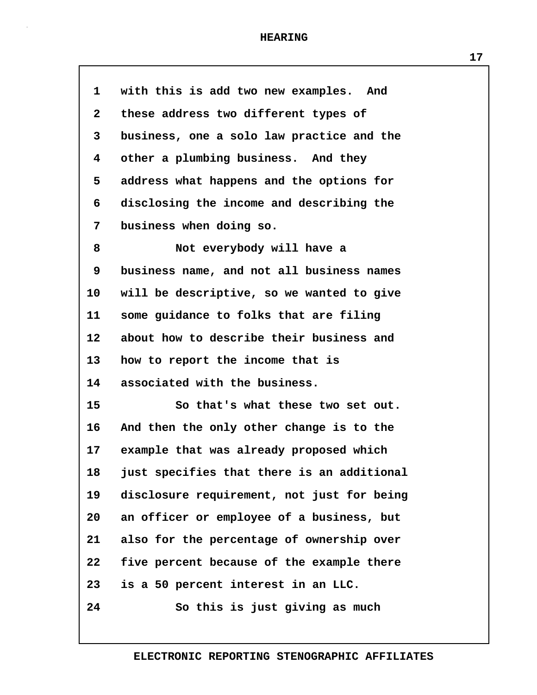| $\mathbf{1}$            | with this is add two new examples. And     |
|-------------------------|--------------------------------------------|
| $\mathbf{2}$            | these address two different types of       |
| 3                       | business, one a solo law practice and the  |
| $\overline{\mathbf{4}}$ | other a plumbing business. And they        |
| 5                       | address what happens and the options for   |
| 6                       | disclosing the income and describing the   |
| 7                       | business when doing so.                    |
| 8                       | Not everybody will have a                  |
| 9                       | business name, and not all business names  |
| 10                      | will be descriptive, so we wanted to give  |
| 11                      | some guidance to folks that are filing     |
| 12                      | about how to describe their business and   |
| 13                      | how to report the income that is           |
| 14                      | associated with the business.              |
| 15                      | So that's what these two set out.          |
| 16                      | And then the only other change is to the   |
| $17 \,$                 | example that was already proposed which    |
| 18                      | just specifies that there is an additional |
| 19                      | disclosure requirement, not just for being |
| 20                      | an officer or employee of a business, but  |
| 21                      | also for the percentage of ownership over  |
| 22                      | five percent because of the example there  |
| 23                      | is a 50 percent interest in an LLC.        |
| 24                      | So this is just giving as much             |
|                         |                                            |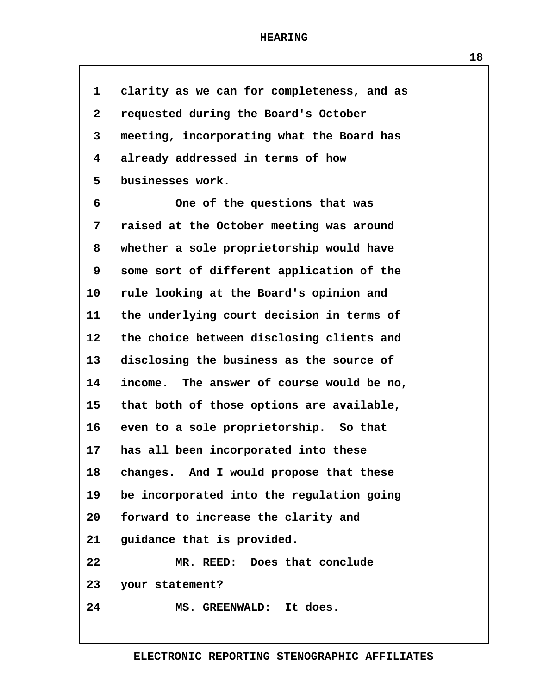**1 clarity as we can for completeness, and as**

| $\mathbf{2}$ | requested during the Board's October      |
|--------------|-------------------------------------------|
| 3            | meeting, incorporating what the Board has |
| 4            | already addressed in terms of how         |
| 5            | businesses work.                          |
| 6            | One of the questions that was             |
| 7            | raised at the October meeting was around  |
| 8            | whether a sole proprietorship would have  |
| 9            | some sort of different application of the |
| 10           | rule looking at the Board's opinion and   |
| 11           | the underlying court decision in terms of |
| 12           | the choice between disclosing clients and |
| 13           | disclosing the business as the source of  |
| 14           | income. The answer of course would be no, |
| 15           | that both of those options are available, |
| 16           | even to a sole proprietorship. So that    |
| 17           | has all been incorporated into these      |
| 18           | changes. And I would propose that these   |
| 19           | be incorporated into the regulation going |
| 20           | forward to increase the clarity and       |
| 21           | guidance that is provided.                |
| 22           | MR. REED: Does that conclude              |
| 23           | your statement?                           |
| 24           | MS. GREENWALD: It does.                   |
|              |                                           |

**18**

# **ELECTRONIC REPORTING STENOGRAPHIC AFFILIATES**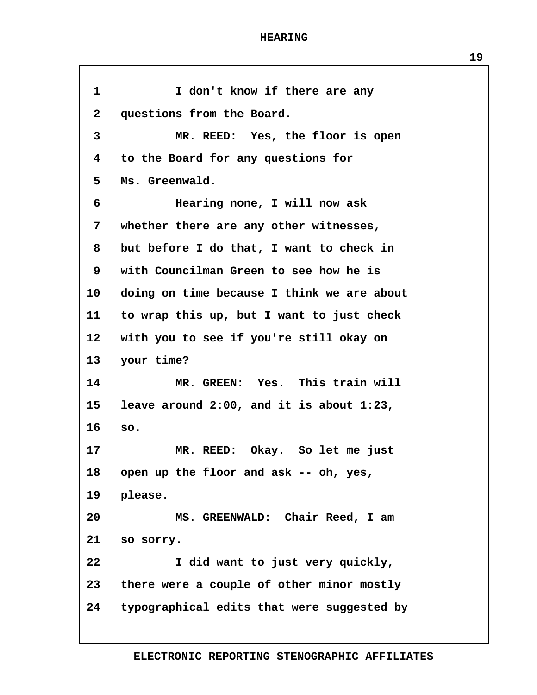**1 I don't know if there are any 2 questions from the Board. 3 MR. REED: Yes, the floor is open 4 to the Board for any questions for 5 Ms. Greenwald. 6 Hearing none, I will now ask 7 whether there are any other witnesses, 8 but before I do that, I want to check in 9 with Councilman Green to see how he is 10 doing on time because I think we are about 11 to wrap this up, but I want to just check 12 with you to see if you're still okay on 13 your time? 14 MR. GREEN: Yes. This train will 15 leave around 2:00, and it is about 1:23, 16 so. 17 MR. REED: Okay. So let me just 18 open up the floor and ask -- oh, yes, 19 please. 20 MS. GREENWALD: Chair Reed, I am 21 so sorry. 22 I did want to just very quickly, 23 there were a couple of other minor mostly 24 typographical edits that were suggested by**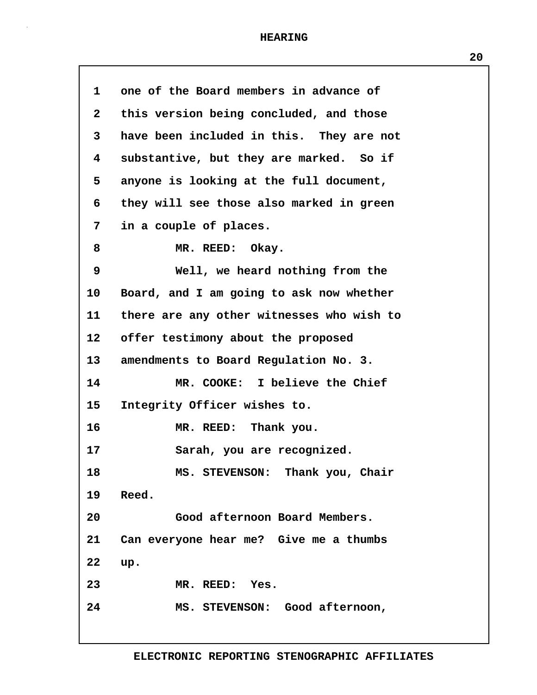| $\mathbf 1$     | one of the Board members in advance of    |
|-----------------|-------------------------------------------|
| $\mathbf{2}$    | this version being concluded, and those   |
| 3               | have been included in this. They are not  |
| 4               | substantive, but they are marked. So if   |
| 5               | anyone is looking at the full document,   |
| 6               | they will see those also marked in green  |
| 7               | in a couple of places.                    |
| 8               | MR. REED: Okay.                           |
| 9               | Well, we heard nothing from the           |
| 10              | Board, and I am going to ask now whether  |
| 11              | there are any other witnesses who wish to |
| 12 <sub>1</sub> | offer testimony about the proposed        |
| 13              | amendments to Board Regulation No. 3.     |
| 14              | MR. COOKE: I believe the Chief            |
| 15              | Integrity Officer wishes to.              |
| 16              | MR. REED: Thank you.                      |
| 17              | Sarah, you are recognized.                |
| 18              | MS. STEVENSON: Thank you, Chair           |
| 19              | Reed.                                     |
| 20              | Good afternoon Board Members.             |
| 21              | Can everyone hear me? Give me a thumbs    |
| 22              | up.                                       |
| 23              | MR. REED: Yes.                            |
| 24              | MS. STEVENSON: Good afternoon,            |
|                 |                                           |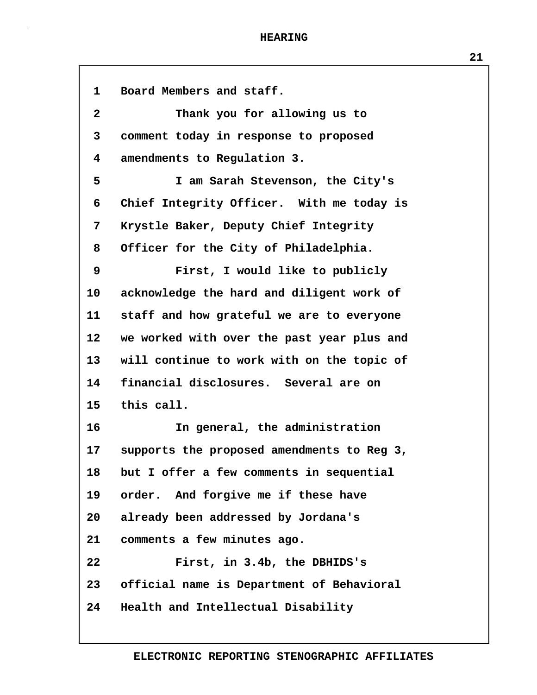**1 Board Members and staff. 2 Thank you for allowing us to 3 comment today in response to proposed 4 amendments to Regulation 3. 5 I am Sarah Stevenson, the City's 6 Chief Integrity Officer. With me today is 7 Krystle Baker, Deputy Chief Integrity 8 Officer for the City of Philadelphia. 9 First, I would like to publicly 10 acknowledge the hard and diligent work of 11 staff and how grateful we are to everyone 12 we worked with over the past year plus and 13 will continue to work with on the topic of 14 financial disclosures. Several are on 15 this call. 16 In general, the administration 17 supports the proposed amendments to Reg 3, 18 but I offer a few comments in sequential 19 order. And forgive me if these have 20 already been addressed by Jordana's 21 comments a few minutes ago. 22 First, in 3.4b, the DBHIDS's 23 official name is Department of Behavioral 24 Health and Intellectual Disability**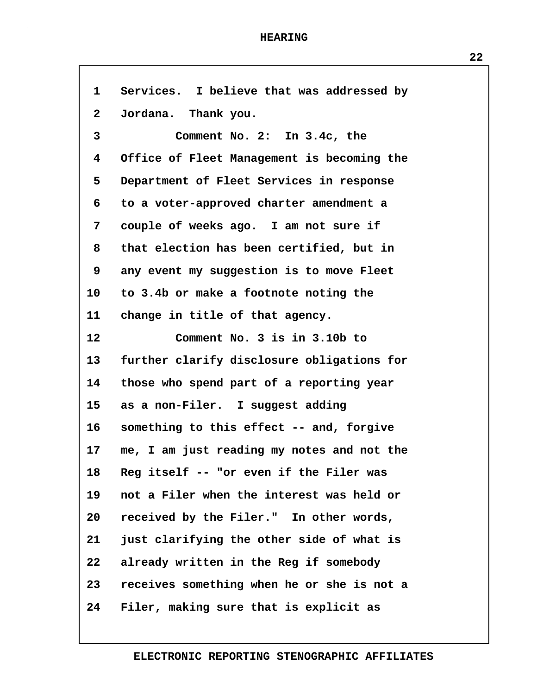Г

| $\mathbf{1}$    | Services. I believe that was addressed by  |
|-----------------|--------------------------------------------|
| $\mathbf{2}$    | Jordana. Thank you.                        |
| $\mathbf{3}$    | Comment No. 2: In 3.4c, the                |
| 4               | Office of Fleet Management is becoming the |
| 5               | Department of Fleet Services in response   |
| 6               | to a voter-approved charter amendment a    |
| 7               | couple of weeks ago. I am not sure if      |
| 8               | that election has been certified, but in   |
| 9               | any event my suggestion is to move Fleet   |
| $10 \,$         | to 3.4b or make a footnote noting the      |
| 11              | change in title of that agency.            |
| 12              | Comment No. 3 is in 3.10b to               |
| 13              | further clarify disclosure obligations for |
| 14              | those who spend part of a reporting year   |
| 15              | as a non-Filer. I suggest adding           |
| $16 \,$         | something to this effect -- and, forgive   |
| 17 <sub>2</sub> | me, I am just reading my notes and not the |
| 18              | Reg itself -- "or even if the Filer was    |
| 19              | not a Filer when the interest was held or  |
| 20              | received by the Filer." In other words,    |
| 21              | just clarifying the other side of what is  |
| 22              | already written in the Reg if somebody     |
| 23              | receives something when he or she is not a |
| 24              | Filer, making sure that is explicit as     |

# **ELECTRONIC REPORTING STENOGRAPHIC AFFILIATES**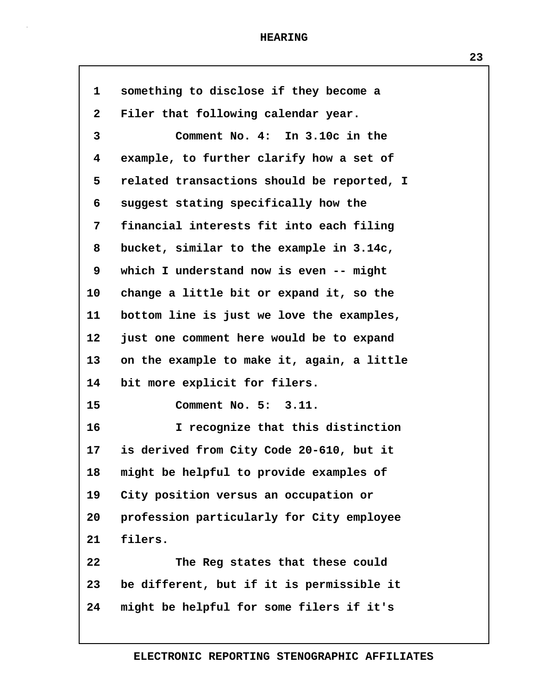| 1                       | something to disclose if they become a     |
|-------------------------|--------------------------------------------|
| $\mathbf{2}$            | Filer that following calendar year.        |
| 3                       | Comment No. 4: In 3.10c in the             |
| $\overline{\mathbf{4}}$ | example, to further clarify how a set of   |
| 5                       | related transactions should be reported, I |
| 6                       | suggest stating specifically how the       |
| 7                       | financial interests fit into each filing   |
| 8                       | bucket, similar to the example in 3.14c,   |
| 9                       | which I understand now is even -- might    |
| 10                      | change a little bit or expand it, so the   |
| 11                      | bottom line is just we love the examples,  |
| $12 \,$                 | just one comment here would be to expand   |
| 13                      | on the example to make it, again, a little |
| 14                      | bit more explicit for filers.              |
| 15                      | Comment No. 5: 3.11.                       |
| 16                      | I recognize that this distinction          |
| 17                      | is derived from City Code 20-610, but it   |
| 18                      | might be helpful to provide examples of    |
| 19                      | City position versus an occupation or      |
| 20                      | profession particularly for City employee  |
| 21                      | filers.                                    |
| 22                      | The Reg states that these could            |
| 23                      | be different, but if it is permissible it  |
| 24                      | might be helpful for some filers if it's   |
|                         |                                            |

**ELECTRONIC REPORTING STENOGRAPHIC AFFILIATES**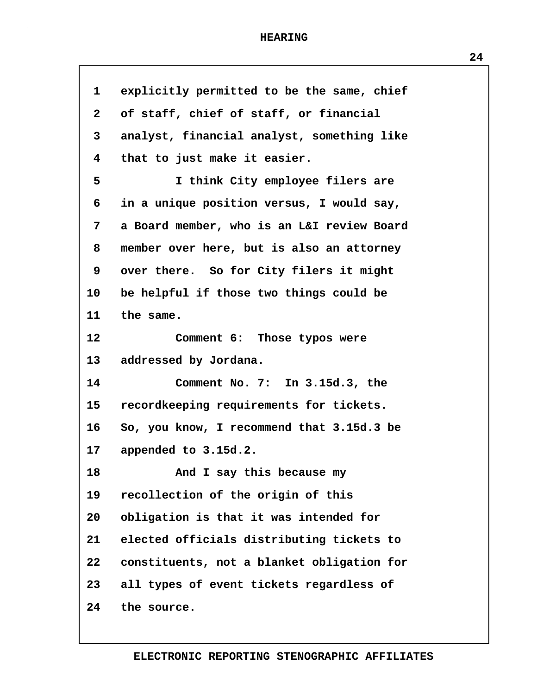| 1                       | explicitly permitted to be the same, chief |
|-------------------------|--------------------------------------------|
| $\mathbf{2}$            | of staff, chief of staff, or financial     |
| 3                       | analyst, financial analyst, something like |
| $\overline{\mathbf{4}}$ | that to just make it easier.               |
| 5                       | I think City employee filers are           |
| 6                       | in a unique position versus, I would say,  |
| 7                       | a Board member, who is an L&I review Board |
| 8                       | member over here, but is also an attorney  |
| 9                       | over there. So for City filers it might    |
| 10                      | be helpful if those two things could be    |
| 11                      | the same.                                  |
| 12                      | Comment 6: Those typos were                |
| 13                      | addressed by Jordana.                      |
| 14                      | Comment No. 7: In 3.15d.3, the             |
| 15                      | recordkeeping requirements for tickets.    |
| 16                      | So, you know, I recommend that 3.15d.3 be  |
| 17                      | appended to 3.15d.2.                       |
| 18                      | And I say this because my                  |
| 19                      | recollection of the origin of this         |
| 20                      | obligation is that it was intended for     |
| 21                      | elected officials distributing tickets to  |
| 22                      | constituents, not a blanket obligation for |
| 23                      | all types of event tickets regardless of   |
| 24                      | the source.                                |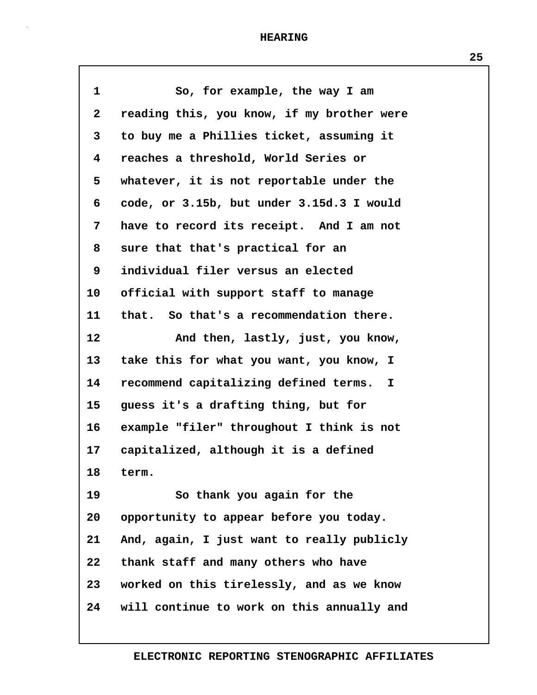| $\mathbf{1}$ | So, for example, the way I am              |
|--------------|--------------------------------------------|
| $\mathbf{2}$ | reading this, you know, if my brother were |
| 3            | to buy me a Phillies ticket, assuming it   |
| 4            | reaches a threshold, World Series or       |
| 5            | whatever, it is not reportable under the   |
| 6            | code, or 3.15b, but under 3.15d.3 I would  |
| 7            | have to record its receipt. And I am not   |
| 8            | sure that that's practical for an          |
| 9            | individual filer versus an elected         |
| 10           | official with support staff to manage      |
| 11           | that. So that's a recommendation there.    |
| 12           | And then, lastly, just, you know,          |
| 13           | take this for what you want, you know, I   |
| 14           | recommend capitalizing defined terms. I    |
| 15           | guess it's a drafting thing, but for       |
| 16           | example "filer" throughout I think is not  |
| 17           | capitalized, although it is a defined      |
| 18           | term.                                      |
| 19           | So thank you again for the                 |
| 20           | opportunity to appear before you today.    |
| 21           | And, again, I just want to really publicly |
| 22           | thank staff and many others who have       |
| 23           | worked on this tirelessly, and as we know  |
| 24           | will continue to work on this annually and |
|              |                                            |

**ELECTRONIC REPORTING STENOGRAPHIC AFFILIATES**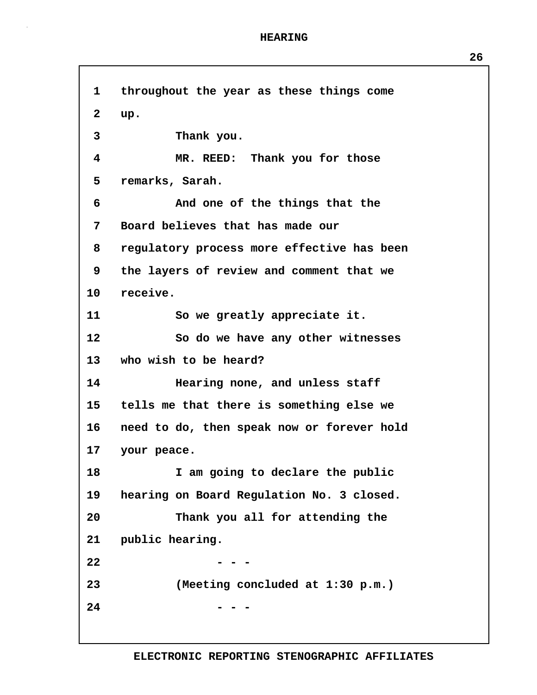**1 throughout the year as these things come 2 up. 3 Thank you. 4 MR. REED: Thank you for those 5 remarks, Sarah. 6 And one of the things that the 7 Board believes that has made our 8 regulatory process more effective has been 9 the layers of review and comment that we 10 receive. 11 So we greatly appreciate it. 12 So do we have any other witnesses 13 who wish to be heard? 14 Hearing none, and unless staff 15 tells me that there is something else we 16 need to do, then speak now or forever hold 17 your peace. 18 I am going to declare the public 19 hearing on Board Regulation No. 3 closed. 20 Thank you all for attending the 21 public hearing. 22 - - - 23 (Meeting concluded at 1:30 p.m.) 24 - - -**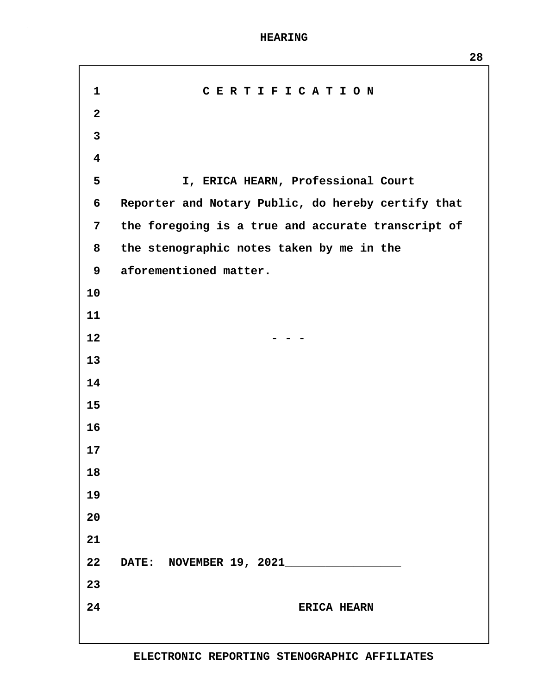| $\mathbf{1}$            | CERTIFICATION                                      |
|-------------------------|----------------------------------------------------|
| $\mathbf{2}$            |                                                    |
| $\mathbf{3}$            |                                                    |
| $\overline{\mathbf{4}}$ |                                                    |
| 5                       | I, ERICA HEARN, Professional Court                 |
| 6                       | Reporter and Notary Public, do hereby certify that |
| $7\phantom{.}$          | the foregoing is a true and accurate transcript of |
| 8                       | the stenographic notes taken by me in the          |
| 9                       | aforementioned matter.                             |
| 10                      |                                                    |
| 11                      |                                                    |
| 12                      |                                                    |
| 13                      |                                                    |
| 14                      |                                                    |
| 15                      |                                                    |
| 16                      |                                                    |
| 17                      |                                                    |
| 18                      |                                                    |
| 19                      |                                                    |
| 20                      |                                                    |
| 21                      |                                                    |
| 22                      | DATE: NOVEMBER 19, 2021                            |
| 23                      |                                                    |
| 24                      | ERICA HEARN                                        |
|                         |                                                    |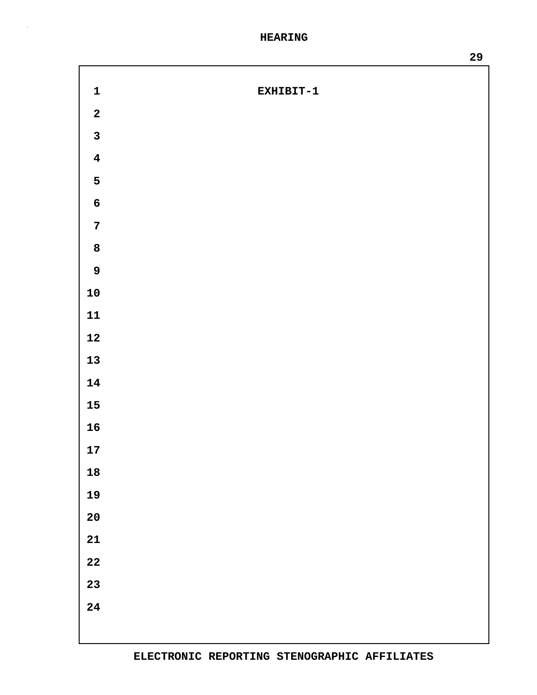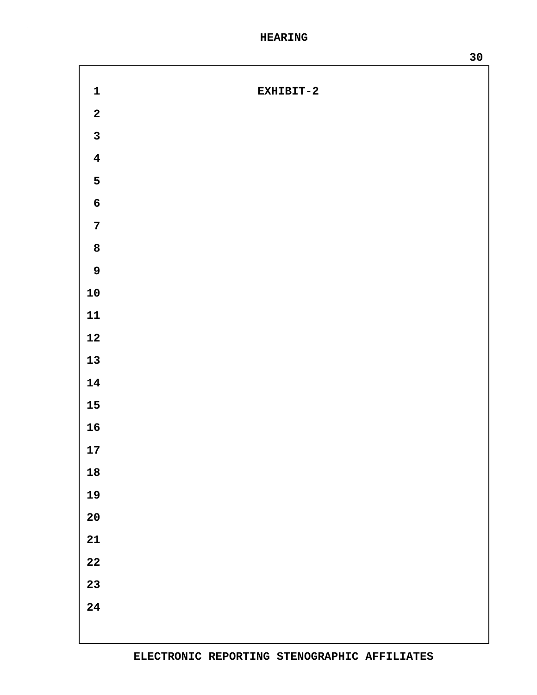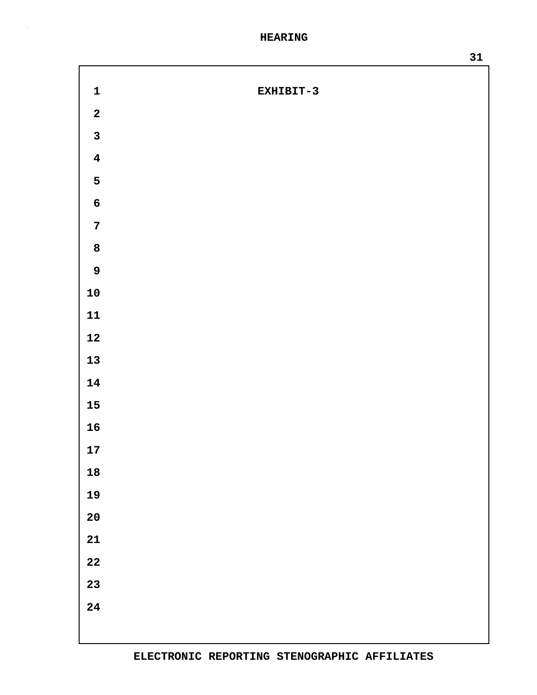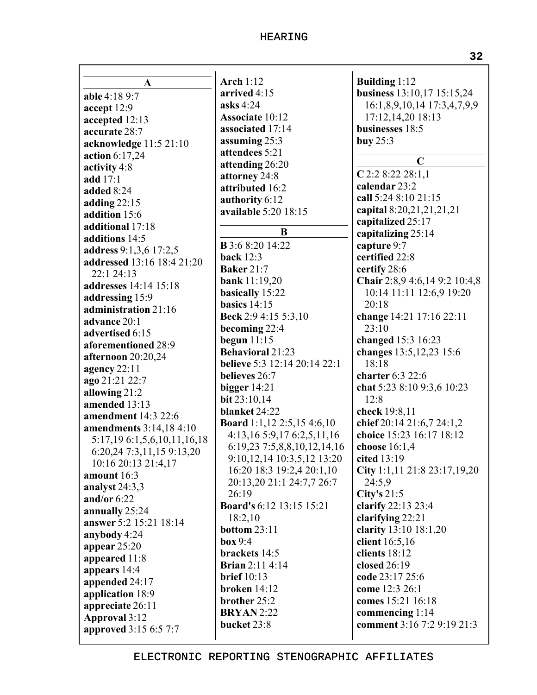| A                            | <b>Arch 1:12</b>                    | <b>Building 1:12</b>                          |
|------------------------------|-------------------------------------|-----------------------------------------------|
| able 4:18 9:7                | arrived 4:15                        | business 13:10,17 15:15,24                    |
| accept 12:9                  | asks 4:24                           | 16:1,8,9,10,14 17:3,4,7,9,9                   |
| accepted 12:13               | <b>Associate 10:12</b>              | 17:12,14,20 18:13                             |
| accurate 28:7                | associated 17:14                    | businesses 18:5                               |
| acknowledge 11:5 21:10       | assuming 25:3                       | buy $25:3$                                    |
| action 6:17,24               | attendees 5:21                      |                                               |
| activity 4:8                 | attending 26:20                     | $\mathbf C$                                   |
| add 17:1                     | attorney 24:8                       | $C$ 2:2 8:22 28:1,1                           |
| added 8:24                   | attributed 16:2                     | calendar 23:2                                 |
| adding $22:15$               | authority 6:12                      | call 5:24 8:10 21:15                          |
| addition 15:6                | available 5:20 18:15                | capital 8:20,21,21,21,21                      |
| additional 17:18             |                                     | capitalized 25:17                             |
| additions 14:5               | B                                   | capitalizing 25:14                            |
| address 9:1,3,6 17:2,5       | <b>B</b> 3:6 8:20 14:22             | capture 9:7                                   |
| addressed 13:16 18:4 21:20   | <b>back</b> 12:3                    | certified 22:8                                |
| 22:1 24:13                   | <b>Baker 21:7</b>                   | certify 28:6                                  |
| <b>addresses</b> 14:14 15:18 | bank 11:19,20                       | Chair 2:8,9 4:6,14 9:2 10:4,8                 |
| addressing 15:9              | basically 15:22                     | 10:14 11:11 12:6,9 19:20                      |
| administration 21:16         | basics $14:15$                      | 20:18                                         |
| advance 20:1                 | Beck 2:9 4:15 5:3,10                | change 14:21 17:16 22:11                      |
| advertised 6:15              | becoming 22:4                       | 23:10                                         |
| aforementioned 28:9          | begun $11:15$                       | changed 15:3 16:23                            |
| afternoon 20:20,24           | <b>Behavioral 21:23</b>             | changes 13:5, 12, 23 15:6                     |
| agency $22:11$               | <b>believe</b> 5:3 12:14 20:14 22:1 | 18:18                                         |
| ago 21:21 22:7               | believes 26:7                       | charter 6:3 22:6                              |
| allowing 21:2                | bigger $14:21$                      | chat 5:23 8:10 9:3,6 10:23                    |
| amended 13:13                | bit 23:10,14                        | 12:8                                          |
| amendment 14:3 22:6          | blanket 24:22                       | check 19:8,11                                 |
| amendments 3:14,18 4:10      | <b>Board</b> 1:1,12 2:5,15 4:6,10   | chief 20:14 21:6,7 24:1,2                     |
| 5:17,19 6:1,5,6,10,11,16,18  | 4:13,16 5:9,17 6:2,5,11,16          | choice 15:23 16:17 18:12                      |
| 6:20,24 7:3,11,15 9:13,20    | 6:19,23 7:5,8,8,10,12,14,16         | choose 16:1,4                                 |
| 10:16 20:13 21:4,17          | 9:10,12,14 10:3,5,12 13:20          | cited $13:19$                                 |
| amount 16:3                  | 16:20 18:3 19:2,4 20:1,10           | City 1:1,11 21:8 23:17,19,20                  |
| analyst 24:3,3               | 20:13,20 21:1 24:7,7 26:7           | 24:5,9                                        |
| and/or $6:22$                | 26:19                               | City's $21:5$                                 |
| annually 25:24               | <b>Board's 6:12 13:15 15:21</b>     | clarify 22:13 23:4                            |
| answer 5:2 15:21 18:14       | 18:2,10                             | clarifying 22:21                              |
| anybody 4:24                 | bottom 23:11                        | clarity 13:10 18:1,20                         |
| appear $25:20$               | box 9:4                             | client 16:5,16                                |
| appeared 11:8                | brackets 14:5                       | clients 18:12                                 |
| appears 14:4                 | <b>Brian 2:11 4:14</b>              | closed 26:19                                  |
| appended 24:17               | brief $10:13$                       | code 23:17 25:6                               |
| application 18:9             | broken 14:12                        | come 12:3 26:1                                |
| appreciate 26:11             | brother 25:2                        | comes 15:21 16:18                             |
| Approval 3:12                | <b>BRYAN</b> 2:22<br>bucket 23:8    | commencing 1:14<br>comment 3:16 7:2 9:19 21:3 |
| approved 3:15 6:5 7:7        |                                     |                                               |
|                              |                                     |                                               |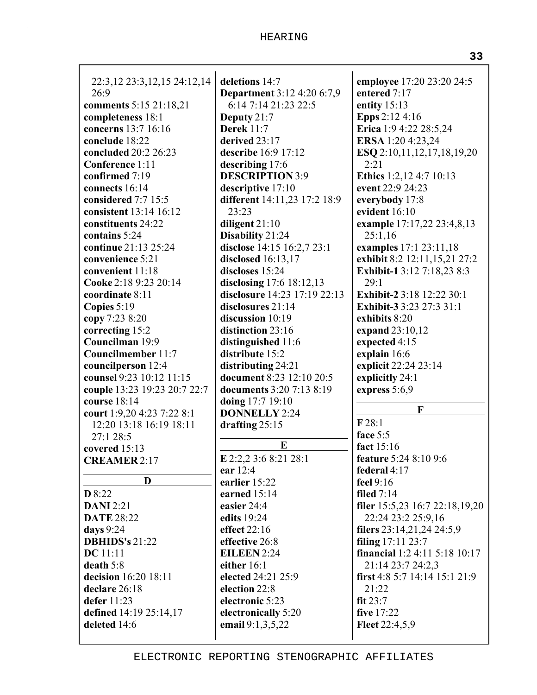| 22:3, 12 23:3, 12, 15 24: 12, 14<br>26:9<br>comments 5:15 21:18,21<br>completeness 18:1<br>concerns 13:7 16:16<br>conclude 18:22<br>concluded 20:2 26:23<br>Conference 1:11<br>confirmed 7:19<br>connects 16:14<br>considered 7:7 15:5<br>consistent 13:14 16:12<br>constituents 24:22<br>contains 5:24<br>continue 21:13 25:24<br>convenience 5:21<br>convenient 11:18<br>Cooke 2:18 9:23 20:14<br>coordinate 8:11<br>Copies 5:19<br>copy 7:23 8:20<br>correcting 15:2<br>Councilman 19:9<br><b>Councilmember 11:7</b><br>councilperson 12:4<br>counsel 9:23 10:12 11:15<br>couple 13:23 19:23 20:7 22:7<br>course 18:14<br>court 1:9,20 4:23 7:22 8:1<br>12:20 13:18 16:19 18:11<br>27:1 28:5<br>covered 15:13<br><b>CREAMER 2:17</b> | deletions 14:7<br><b>Department</b> 3:12 4:20 6:7,9<br>6:14 7:14 21:23 22:5<br>Deputy $21:7$<br><b>Derek 11:7</b><br>derived 23:17<br>describe 16:9 17:12<br>describing 17:6<br><b>DESCRIPTION 3:9</b><br>descriptive 17:10<br>different 14:11,23 17:2 18:9<br>23:23<br>diligent 21:10<br>Disability 21:24<br>disclose 14:15 16:2,7 23:1<br>disclosed 16:13,17<br>discloses 15:24<br>disclosing 17:6 18:12,13<br>disclosure 14:23 17:19 22:13<br>disclosures 21:14<br>discussion 10:19<br>distinction 23:16<br>distinguished 11:6<br>distribute 15:2<br>distributing 24:21<br>document 8:23 12:10 20:5<br>documents 3:20 7:13 8:19<br>doing 17:7 19:10<br><b>DONNELLY 2:24</b><br>drafting 25:15<br>E<br>E 2:2,2 3:6 8:21 28:1 | employee 17:20 23:20 24:5<br>entered 7:17<br>entity $15:13$<br><b>Epps</b> 2:12 4:16<br>Erica 1:9 4:22 28:5,24<br>ERSA 1:20 4:23,24<br>ESQ 2:10,11,12,17,18,19,20<br>2:21<br>Ethics 1:2,12 4:7 10:13<br>event 22:9 24:23<br>everybody 17:8<br>evident 16:10<br>example 17:17,22 23:4,8,13<br>25:1,16<br>examples 17:1 23:11,18<br>exhibit 8:2 12:11,15,21 27:2<br>Exhibit-1 3:12 7:18,23 8:3<br>29:1<br>Exhibit-2 3:18 12:22 30:1<br>Exhibit-3 3:23 27:3 31:1<br>exhibits 8:20<br>expand 23:10,12<br>expected 4:15<br>explain 16:6<br>explicit 22:24 23:14<br>explicitly 24:1<br>express 5:6,9<br>F<br>F28:1<br>face 5:5<br>fact 15:16<br><b>feature 5:24 8:10 9:6</b> |
|-----------------------------------------------------------------------------------------------------------------------------------------------------------------------------------------------------------------------------------------------------------------------------------------------------------------------------------------------------------------------------------------------------------------------------------------------------------------------------------------------------------------------------------------------------------------------------------------------------------------------------------------------------------------------------------------------------------------------------------------|--------------------------------------------------------------------------------------------------------------------------------------------------------------------------------------------------------------------------------------------------------------------------------------------------------------------------------------------------------------------------------------------------------------------------------------------------------------------------------------------------------------------------------------------------------------------------------------------------------------------------------------------------------------------------------------------------------------------------------|------------------------------------------------------------------------------------------------------------------------------------------------------------------------------------------------------------------------------------------------------------------------------------------------------------------------------------------------------------------------------------------------------------------------------------------------------------------------------------------------------------------------------------------------------------------------------------------------------------------------------------------------------------------------|
| D                                                                                                                                                                                                                                                                                                                                                                                                                                                                                                                                                                                                                                                                                                                                       | ear 12:4<br>earlier 15:22                                                                                                                                                                                                                                                                                                                                                                                                                                                                                                                                                                                                                                                                                                      | federal 4:17<br>feel 9:16                                                                                                                                                                                                                                                                                                                                                                                                                                                                                                                                                                                                                                              |
| D 8:22<br><b>DANI</b> 2:21<br><b>DATE 28:22</b><br>days 9:24<br><b>DBHIDS's 21:22</b><br><b>DC</b> 11:11<br>death 5:8<br>decision 16:20 18:11<br>declare 26:18<br>defer 11:23<br>defined 14:19 25:14,17<br>deleted 14:6                                                                                                                                                                                                                                                                                                                                                                                                                                                                                                                 | earned 15:14<br>easier 24:4<br>edits 19:24<br>effect $22:16$<br>effective 26:8<br><b>EILEEN 2:24</b><br>either 16:1<br>elected 24:21 25:9<br>election 22:8<br>electronic 5:23<br>electronically 5:20<br>email 9:1,3,5,22                                                                                                                                                                                                                                                                                                                                                                                                                                                                                                       | filed $7:14$<br>filer 15:5,23 16:7 22:18,19,20<br>22:24 23:2 25:9,16<br>filers 23:14,21,24 24:5,9<br>filing 17:11 23:7<br>financial 1:2 4:11 5:18 10:17<br>21:14 23:7 24:2,3<br>first 4:8 5:7 14:14 15:1 21:9<br>21:22<br>fit $23:7$<br>five 17:22<br>Fleet 22:4,5,9                                                                                                                                                                                                                                                                                                                                                                                                   |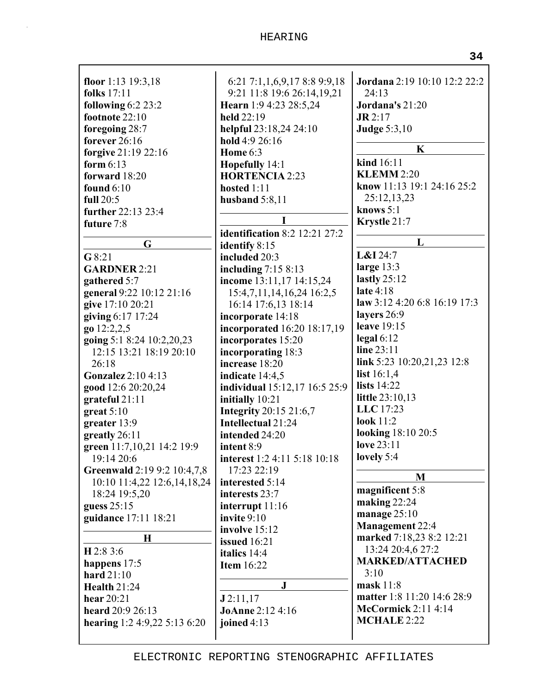| floor 1:13 $19:3,18$        | 6:21 7:1,1,6,9,17 8:8 9:9,18         | <b>Jordana</b> 2:19 10:10 12:2 22:2 |
|-----------------------------|--------------------------------------|-------------------------------------|
| <b>folks</b> 17:11          | 9:21 11:8 19:6 26:14,19,21           | 24:13                               |
| following $6:2$ 23:2        | Hearn 1:9 4:23 28:5,24               | Jordana's 21:20                     |
| footnote 22:10              | held 22:19                           | $J\mathbf{R}$ 2:17                  |
| foregoing 28:7              | helpful 23:18,24 24:10               | <b>Judge 5:3,10</b>                 |
| forever 26:16               | hold 4:9 26:16                       | $\mathbf K$                         |
| forgive 21:19 22:16         | <b>Home 6:3</b>                      |                                     |
| form $6:13$                 | Hopefully 14:1                       | kind 16:11                          |
| forward 18:20               | <b>HORTENCIA 2:23</b>                | <b>KLEMM 2:20</b>                   |
| found $6:10$                | hosted $1:11$                        | know 11:13 19:1 24:16 25:2          |
| full $20:5$                 | husband $5:8,11$                     | 25:12,13,23                         |
| further 22:13 23:4          |                                      | knows $5:1$                         |
| future 7:8                  | I                                    | Krystle 21:7                        |
|                             | <b>identification</b> 8:2 12:21 27:2 | L                                   |
| G                           | identify 8:15                        | $L&I$ 24:7                          |
| G8:21                       | included 20:3                        | large 13:3                          |
| <b>GARDNER 2:21</b>         | including $7:158:13$                 |                                     |
| gathered 5:7                | income 13:11,17 14:15,24             | lastly $25:12$<br>late 4:18         |
| general 9:22 10:12 21:16    | 15:4,7,11,14,16,24 16:2,5            |                                     |
| give 17:10 20:21            | 16:14 17:6,13 18:14                  | law 3:12 4:20 6:8 16:19 17:3        |
| giving 6:17 17:24           | incorporate 14:18                    | layers 26:9<br>leave 19:15          |
| go 12:2,2,5                 | incorporated 16:20 18:17,19          |                                     |
| going 5:1 8:24 10:2,20,23   | incorporates 15:20                   | $\text{legal } 6:12$<br>line 23:11  |
| 12:15 13:21 18:19 20:10     | incorporating 18:3                   |                                     |
| 26:18                       | increase 18:20                       | link 5:23 10:20,21,23 12:8          |
| <b>Gonzalez</b> 2:10 4:13   | indicate 14:4,5                      | list $16:1,4$<br><b>lists</b> 14:22 |
| good 12:6 20:20,24          | individual 15:12,17 16:5 25:9        | little 23:10,13                     |
| grateful 21:11              | initially 10:21                      | LLC 17:23                           |
| $gr$ eat 5:10               | <b>Integrity</b> 20:15 21:6,7        | look $11:2$                         |
| greater 13:9                | Intellectual 21:24                   | looking 18:10 20:5                  |
| greatly 26:11               | intended 24:20                       | love 23:11                          |
| green 11:7,10,21 14:2 19:9  | intent 8:9                           | lovely 5:4                          |
| 19:14 20:6                  | interest 1:2 4:11 5:18 10:18         |                                     |
| Greenwald 2:19 9:2 10:4,7,8 | 17:23 22:19                          | M                                   |
| 10:10 11:4,22 12:6,14,18,24 | interested 5:14                      | magnificent 5:8                     |
| 18:24 19:5,20               | interests 23:7                       | making $22:24$                      |
| guess 25:15                 | interrupt $11:16$<br>invite 9:10     | manage 25:10                        |
| guidance 17:11 18:21        | involve 15:12                        | <b>Management 22:4</b>              |
| $\bf H$                     | issued 16:21                         | marked 7:18,23 8:2 12:21            |
| H 2:8 3:6                   | italics 14:4                         | 13:24 20:4,6 27:2                   |
| happens 17:5                | <b>Item 16:22</b>                    | <b>MARKED/ATTACHED</b>              |
| hard $21:10$                |                                      | 3:10                                |
| <b>Health 21:24</b>         | $\mathbf{J}$                         | $\text{mask} 11:8$                  |
| hear 20:21                  | J2:11,17                             | matter 1:8 11:20 14:6 28:9          |
| heard 20:9 26:13            | <b>JoAnne 2:12 4:16</b>              | <b>McCormick 2:11 4:14</b>          |
| hearing $1:24:9,225:136:20$ | joined $4:13$                        | <b>MCHALE 2:22</b>                  |
|                             |                                      |                                     |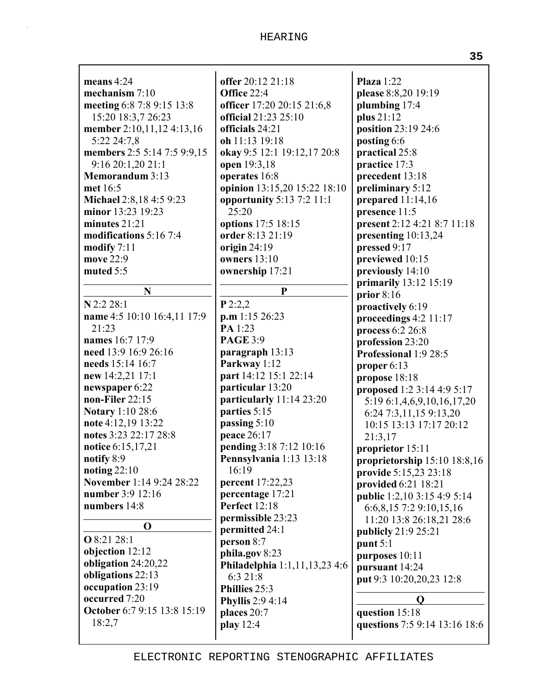| means $4:24$                | offer 20:12 21:18             | Plaza $1:22$                       |
|-----------------------------|-------------------------------|------------------------------------|
| mechanism $7:10$            | Office 22:4                   | please 8:8,20 19:19                |
| meeting 6:8 7:8 9:15 13:8   | officer 17:20 20:15 21:6,8    | plumbing 17:4                      |
| 15:20 18:3,7 26:23          | official 21:23 25:10          | plus 21:12                         |
| member 2:10,11,12 4:13,16   | officials 24:21               | position 23:19 24:6                |
| 5:22 24:7,8                 | oh 11:13 19:18                | posting 6:6                        |
| members 2:5 5:14 7:5 9:9,15 | okay 9:5 12:1 19:12,17 20:8   | practical 25:8                     |
| 9:16 20:1,20 21:1           | open 19:3,18                  | practice 17:3                      |
| <b>Memorandum 3:13</b>      | operates 16:8                 | precedent 13:18                    |
| met 16:5                    | opinion 13:15,20 15:22 18:10  | preliminary 5:12                   |
| Michael 2:8,18 4:5 9:23     | opportunity 5:13 7:2 11:1     | prepared $11:14,16$                |
| minor 13:23 19:23           | 25:20                         | presence 11:5                      |
| minutes $21:21$             | options 17:5 18:15            | present 2:12 4:21 8:7 11:18        |
| modifications 5:16 7:4      | order 8:13 21:19              | presenting 10:13,24                |
| modify $7:11$               | origin $24:19$                | pressed 9:17                       |
| move 22:9                   | owners $13:10$                | previewed 10:15                    |
| muted 5:5                   | ownership 17:21               | previously 14:10                   |
|                             |                               |                                    |
| N                           | ${\bf P}$                     | primarily 13:12 15:19              |
| N 2:2 28:1                  | P2:2,2                        | prior $8:16$                       |
| name 4:5 10:10 16:4,11 17:9 | $p.m$ 1:15 26:23              | proactively 6:19                   |
| 21:23                       | PA 1:23                       | proceedings 4:2 11:17              |
| names 16:7 17:9             | <b>PAGE 3:9</b>               | process 6:2 26:8                   |
| need 13:9 16:9 26:16        |                               | profession 23:20                   |
| needs 15:14 16:7            | paragraph 13:13               | Professional 1:9 28:5              |
|                             | Parkway 1:12                  | proper 6:13                        |
| new 14:2,21 17:1            | part 14:12 15:1 22:14         | propose 18:18                      |
| newspaper 6:22              | particular 13:20              | proposed 1:2 3:14 4:9 5:17         |
| non-Filer 22:15             | particularly 11:14 23:20      | 5:19 6:1,4,6,9,10,16,17,20         |
| <b>Notary</b> 1:10 28:6     | parties 5:15                  | 6:24 7:3,11,15 9:13,20             |
| note 4:12,19 13:22          | passing 5:10                  | 10:15 13:13 17:17 20:12            |
| notes 3:23 22:17 28:8       | peace 26:17                   | 21:3,17                            |
| notice 6:15,17,21           | pending 3:18 7:12 10:16       | proprietor 15:11                   |
| notify 8:9                  | Pennsylvania 1:13 13:18       | proprietorship 15:10 18:8,16       |
| noting $22:10$              | 16:19                         | provide 5:15,23 23:18              |
| November 1:14 9:24 28:22    | <b>percent</b> 17:22,23       | provided 6:21 18:21                |
| number 3:9 12:16            | percentage 17:21              | <b>public</b> 1:2,10 3:15 4:9 5:14 |
| numbers 14:8                | <b>Perfect</b> 12:18          | 6:6,8,15 7:2 9:10,15,16            |
| O                           | permissible 23:23             | 11:20 13:8 26:18,21 28:6           |
|                             | permitted 24:1                | publicly 21:9 25:21                |
| <b>O</b> 8:21 28:1          | person 8:7                    | punt $5:1$                         |
| objection 12:12             | phila.gov 8:23                | purposes 10:11                     |
| obligation 24:20,22         | Philadelphia 1:1,11,13,23 4:6 | pursuant 14:24                     |
| obligations 22:13           | 6:3 21:8                      | put 9:3 10:20,20,23 12:8           |
| occupation 23:19            | Phillies 25:3                 |                                    |
| occurred 7:20               | <b>Phyllis</b> 2:9 4:14       | Q                                  |
| October 6:7 9:15 13:8 15:19 | places 20:7                   | question 15:18                     |
| 18:2,7                      | play 12:4                     | questions 7:5 9:14 13:16 18:6      |
|                             |                               |                                    |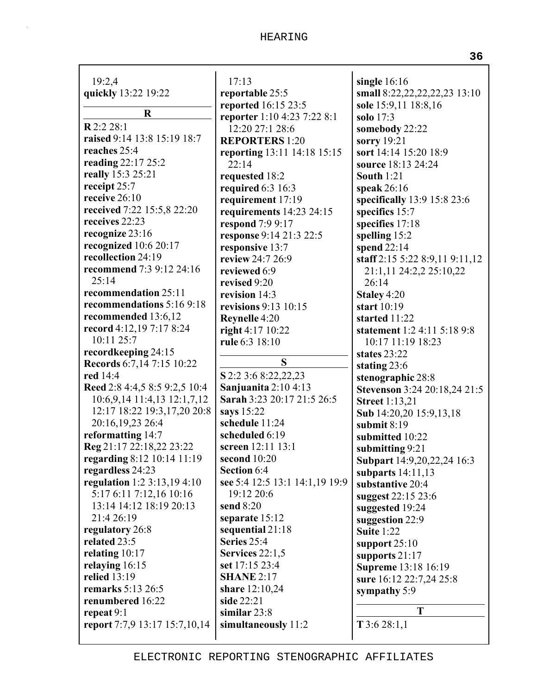| 19:2,4                        | 17:13                                | single $16:16$                           |
|-------------------------------|--------------------------------------|------------------------------------------|
| quickly 13:22 19:22           | reportable 25:5                      | small 8:22,22,22,22,23 13:10             |
|                               | reported 16:15 23:5                  | sole 15:9,11 18:8,16                     |
| R                             | reporter 1:10 4:23 7:22 8:1          | solo $17:3$                              |
| R 2:2 28:1                    | 12:20 27:1 28:6                      | somebody 22:22                           |
| raised 9:14 13:8 15:19 18:7   | <b>REPORTERS</b> 1:20                |                                          |
| reaches 25:4                  |                                      | sorry 19:21<br>sort 14:14 15:20 18:9     |
| reading 22:17 25:2            | reporting 13:11 14:18 15:15<br>22:14 | source 18:13 24:24                       |
| really 15:3 25:21             |                                      | <b>South 1:21</b>                        |
| receipt 25:7                  | requested 18:2                       |                                          |
| receive 26:10                 | required 6:3 16:3                    | speak $26:16$                            |
| received 7:22 15:5,8 22:20    | requirement 17:19                    | specifically 13:9 15:8 23:6              |
| receives 22:23                | requirements 14:23 24:15             | specifics 15:7                           |
| recognize 23:16               | respond 7:9 9:17                     | specifies 17:18                          |
| recognized 10:6 20:17         | response 9:14 21:3 22:5              | spelling 15:2                            |
| recollection 24:19            | responsive 13:7                      | spend $22:14$                            |
| recommend 7:3 9:12 24:16      | review 24:7 26:9                     | staff 2:15 5:22 8:9,11 9:11,12           |
| 25:14                         | reviewed 6:9                         | 21:1,11 24:2,2 25:10,22                  |
| recommendation 25:11          | revised 9:20                         | 26:14                                    |
| recommendations 5:16 9:18     | revision 14:3                        | Staley 4:20                              |
| recommended 13:6,12           | revisions $9:13$ 10:15               | start 10:19                              |
| record 4:12,19 7:17 8:24      | Reynelle 4:20                        | started 11:22                            |
| 10:11 25:7                    | right $4:17$ $10:22$                 | statement 1:2 4:11 5:18 9:8              |
| recordkeeping 24:15           | rule 6:3 18:10                       | 10:17 11:19 18:23                        |
| Records 6:7,14 7:15 10:22     | S                                    | states 23:22                             |
| red 14:4                      | S 2:2 3:6 8:22,22,23                 | stating $23:6$                           |
| Reed 2:8 4:4,5 8:5 9:2,5 10:4 | Sanjuanita $2:10$ 4:13               | stenographic 28:8                        |
| 10:6,9,14 11:4,13 12:1,7,12   | Sarah 3:23 20:17 21:5 26:5           | <b>Stevenson</b> 3:24 20:18,24 21:5      |
| 12:17 18:22 19:3,17,20 20:8   | says 15:22                           | <b>Street</b> 1:13,21                    |
| 20:16,19,23 26:4              | schedule 11:24                       | Sub 14:20,20 15:9,13,18<br>submit $8:19$ |
| reformatting 14:7             | scheduled 6:19                       | submitted 10:22                          |
| Reg 21:17 22:18,22 23:22      | screen 12:11 13:1                    | submitting 9:21                          |
| regarding 8:12 10:14 11:19    | second 10:20                         | Subpart 14:9,20,22,24 16:3               |
| regardless 24:23              | Section 6:4                          | subparts $14:11,13$                      |
| regulation 1:2 3:13,19 4:10   | see 5:4 12:5 13:1 14:1,19 19:9       | substantive 20:4                         |
| 5:17 6:11 7:12,16 10:16       | 19:12 20:6                           | suggest 22:15 23:6                       |
| 13:14 14:12 18:19 20:13       | send 8:20                            | suggested 19:24                          |
| 21:4 26:19                    | separate 15:12                       | suggestion 22:9                          |
| regulatory 26:8               | sequential 21:18                     | Suite 1:22                               |
| related 23:5                  | Series 25:4                          | support $25:10$                          |
| relating 10:17                | Services 22:1,5                      | supports $21:17$                         |
| relaying 16:15                | set 17:15 23:4                       | Supreme 13:18 16:19                      |
| relied 13:19                  | <b>SHANE 2:17</b>                    | sure 16:12 22:7,24 25:8                  |
| remarks 5:13 26:5             | share 12:10,24                       | sympathy 5:9                             |
| renumbered 16:22              | side 22:21                           |                                          |
| repeat 9:1                    | similar $23:8$                       | T                                        |
| report 7:7,9 13:17 15:7,10,14 | simultaneously 11:2                  | $T$ 3:6 28:1,1                           |
|                               |                                      |                                          |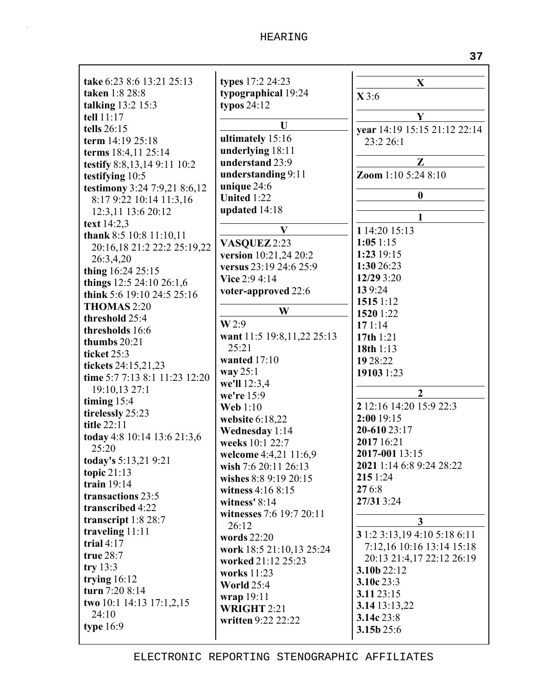| take 6:23 8:6 13:21 25:13     | types 17:2 24:23                              |                               |
|-------------------------------|-----------------------------------------------|-------------------------------|
| taken 1:8 28:8                | typographical 19:24                           | X                             |
| talking 13:2 15:3             | typos $24:12$                                 | X3:6                          |
| tell 11:17                    |                                               | Y                             |
| tells 26:15                   | U                                             | year 14:19 15:15 21:12 22:14  |
| term 14:19 25:18              | ultimately 15:16                              | 23:2 26:1                     |
| terms 18:4,11 25:14           | underlying 18:11                              |                               |
| testify 8:8,13,14 9:11 10:2   | understand 23:9                               | Z                             |
| testifying 10:5               | understanding 9:11                            | Zoom 1:10 5:24 8:10           |
| testimony 3:24 7:9,21 8:6,12  | unique 24:6                                   |                               |
| 8:17 9:22 10:14 11:3,16       | <b>United 1:22</b>                            | $\boldsymbol{0}$              |
| 12:3,11 13:6 20:12            | updated 14:18                                 |                               |
| text 14:2,3                   |                                               | 1                             |
| thank 8:5 10:8 11:10,11       | V                                             | 1 14:20 15:13                 |
| 20:16,18 21:2 22:2 25:19,22   | VASQUEZ 2:23                                  | 1:051:15                      |
| 26:3,4,20                     | version 10:21,24 20:2                         | 1:23 19:15                    |
| thing 16:24 25:15             | versus 23:19 24:6 25:9                        | 1:30 26:23                    |
| things 12:5 24:10 26:1,6      | Vice 2:9 4:14                                 | 12/29 3:20                    |
| think 5:6 19:10 24:5 25:16    | voter-approved 22:6                           | 139:24                        |
| THOMAS 2:20                   |                                               | 1515 1:12                     |
| threshold 25:4                | W                                             | 1520 1:22                     |
| thresholds 16:6               | W2:9                                          | 171:14                        |
| thumbs $20:21$                | want 11:5 19:8,11,22 25:13                    | 17th 1:21                     |
| ticket 25:3                   | 25:21                                         | 18th 1:13                     |
| tickets 24:15,21,23           | wanted $17:10$                                | 19 28:22                      |
| time 5:7 7:13 8:1 11:23 12:20 | way $25:1$                                    | 19103 1:23                    |
| 19:10,13 27:1                 | we'll 12:3,4                                  | $\overline{2}$                |
| timing $15:4$                 | we're 15:9                                    | 2 12:16 14:20 15:9 22:3       |
| tirelessly 25:23              | <b>Web</b> 1:10                               | 2:00 19:15                    |
| <b>title 22:11</b>            | website 6:18,22                               | 20-610 23:17                  |
| today 4:8 10:14 13:6 21:3,6   | Wednesday 1:14                                | 2017 16:21                    |
| 25:20                         | weeks 10:1 22:7                               | 2017-001 13:15                |
| today's 5:13,21 9:21          | welcome 4:4,21 11:6,9                         | 2021 1:14 6:8 9:24 28:22      |
| topic $21:13$                 | wish 7:6 20:11 26:13<br>wishes 8:8 9:19 20:15 | 215 1:24                      |
| train $19:14$                 | witness 4:16 8:15                             | 276:8                         |
| transactions 23:5             | witness' 8:14                                 | 27/31 3:24                    |
| transcribed 4:22              | witnesses 7:6 19:7 20:11                      |                               |
| transcript 1:8 28:7           | 26:12                                         | $\mathbf{3}$                  |
| traveling 11:11               | words 22:20                                   | 3 1:2 3:13, 19 4:10 5:18 6:11 |
| trial $4:17$                  | work 18:5 21:10,13 25:24                      | 7:12,16 10:16 13:14 15:18     |
| true 28:7                     | worked 21:12 25:23                            | 20:13 21:4,17 22:12 26:19     |
| try $13:3$                    | works 11:23                                   | 3.10b 22:12                   |
| trying $16:12$                | <b>World 25:4</b>                             | 3.10c 23:3                    |
| turn 7:20 8:14                | wrap 19:11                                    | 3.11 23:15                    |
| two 10:1 14:13 17:1,2,15      | <b>WRIGHT 2:21</b>                            | 3.14 13:13,22                 |
| 24:10                         | written 9:22 22:22                            | 3.14c 23:8                    |
| type $16:9$                   |                                               | 3.15b 25:6                    |
|                               |                                               |                               |